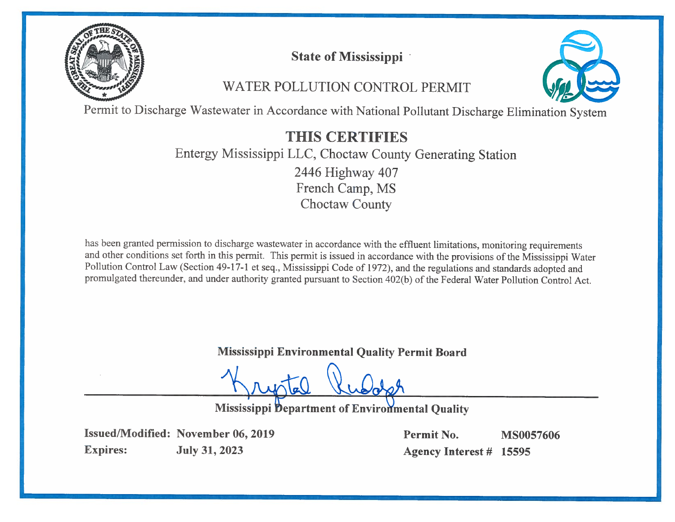

# **State of Mississippi**

# WATER POLLUTION CONTROL PERMIT



Permit to Discharge Wastewater in Accordance with National Pollutant Discharge Elimination System

# THIS CERTIFIES

# Entergy Mississippi LLC, Choctaw County Generating Station 2446 Highway 407 French Camp, MS **Choctaw County**

has been granted permission to discharge wastewater in accordance with the effluent limitations, monitoring requirements and other conditions set forth in this permit. This permit is issued in accordance with the provisions of the Mississippi Water Pollution Control Law (Section 49-17-1 et seq., Mississippi Code of 1972), and the regulations and standards adopted and promulgated thereunder, and under authority granted pursuant to Section 402(b) of the Federal Water Pollution Control Act.

**Mississippi Environmental Quality Permit Board** 

**Mississippi Department of Environmental Quality** 

**Issued/Modified: November 06, 2019 Expires: July 31, 2023** 

Permit No. **MS0057606** Agency Interest # 15595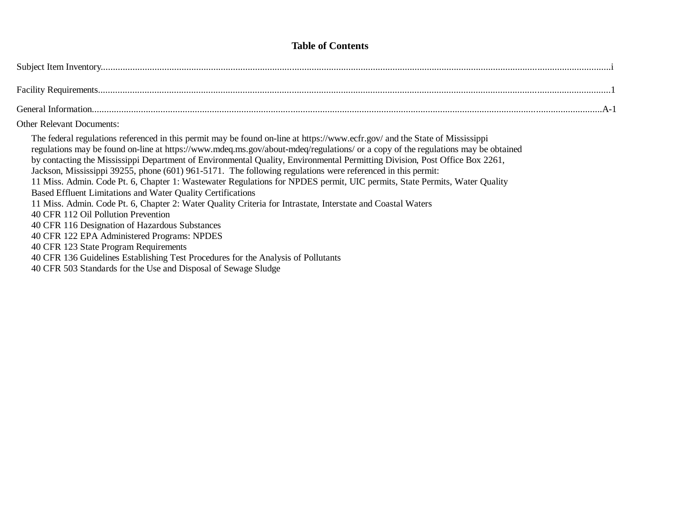## **Table of Contents**

| General Information |  |
|---------------------|--|

#### Other Relevant Documents:

The federal regulations referenced in this permit may be found on-line at<https://www.ecfr.gov/> and the State of Mississippi regulations may be found on-line at<https://www.mdeq.ms.gov/about-mdeq/regulations/> or a copy of the regulations may be obtained by contacting the Mississippi Department of Environmental Quality, Environmental Permitting Division, Post Office Box 2261, Jackson, Mississippi 39255, phone (601) 961-5171. The following regulations were referenced in this permit: 11 Miss. Admin. Code Pt. 6, Chapter 1: Wastewater Regulations for NPDES permit, UIC permits, State Permits, Water Quality Based Effluent Limitations and Water Quality Certifications 11 Miss. Admin. Code Pt. 6, Chapter 2: Water Quality Criteria for Intrastate, Interstate and Coastal Waters 40 CFR 112 Oil Pollution Prevention 40 CFR 116 Designation of Hazardous Substances 40 CFR 122 EPA Administered Programs: NPDES 40 CFR 123 State Program Requirements 40 CFR 136 Guidelines Establishing Test Procedures for the Analysis of Pollutants

40 CFR 503 Standards for the Use and Disposal of Sewage Sludge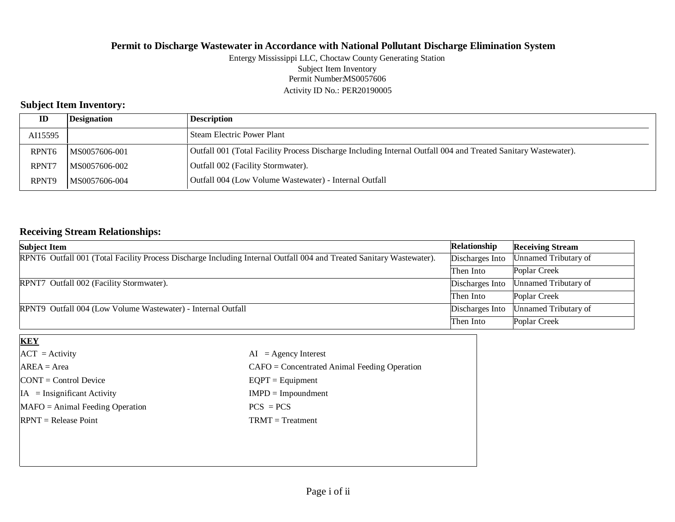#### Permit Number:MS0057606 Activity ID No.: PER20190005 Entergy Mississippi LLC, Choctaw County Generating Station Subject Item Inventory

# **Subject Item Inventory:**

| ID                | Designation   | Description                                                                                                    |
|-------------------|---------------|----------------------------------------------------------------------------------------------------------------|
| AI15595           |               | l Steam Electric Power Plant                                                                                   |
| RPNT <sub>6</sub> | MS0057606-001 | Outfall 001 (Total Facility Process Discharge Including Internal Outfall 004 and Treated Sanitary Wastewater). |
| RPNT7             | MS0057606-002 | Outfall 002 (Facility Stormwater).                                                                             |
| RPNT9             | MS0057606-004 | Outfall 004 (Low Volume Wastewater) - Internal Outfall                                                         |

# **Receiving Stream Relationships:**

| <b>Subject Item</b>                                                                                                  | Relationship    | <b>Receiving Stream</b> |
|----------------------------------------------------------------------------------------------------------------------|-----------------|-------------------------|
| RPNT6 Outfall 001 (Total Facility Process Discharge Including Internal Outfall 004 and Treated Sanitary Wastewater). | Discharges Into | Unnamed Tributary of    |
|                                                                                                                      | Then Into       | Poplar Creek            |
| RPNT7 Outfall 002 (Facility Stormwater).                                                                             | Discharges Into | Unnamed Tributary of    |
|                                                                                                                      | Then Into       | Poplar Creek            |
| RPNT9 Outfall 004 (Low Volume Wastewater) - Internal Outfall                                                         | Discharges Into | Unnamed Tributary of    |
|                                                                                                                      | Then Into       | Poplar Creek            |

| <b>KEY</b>                            |                                                |
|---------------------------------------|------------------------------------------------|
| $ACT = Activity$                      | $AI = Agency Interest$                         |
| $AREA = Area$                         | $CAFO =$ Concentrated Animal Feeding Operation |
| $\text{CONT} = \text{Control Device}$ | $EQPT = Equipment$                             |
| $IA = Insignificant Activity$         | $IMPD = Impoundment$                           |
| $MAFO = Animal Feeding Operation$     | $PCS = PCs$                                    |
| $RPNT = Release Point$                | $TRMT = Treatment$                             |
|                                       |                                                |
|                                       |                                                |
|                                       |                                                |
|                                       |                                                |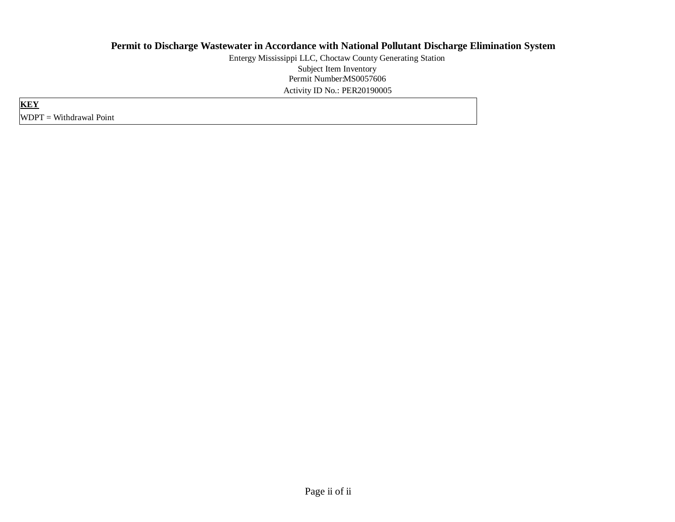Permit Number:MS0057606 Activity ID No.: PER20190005 Entergy Mississippi LLC, Choctaw County Generating Station Subject Item Inventory

**KEY** WDPT = Withdrawal Point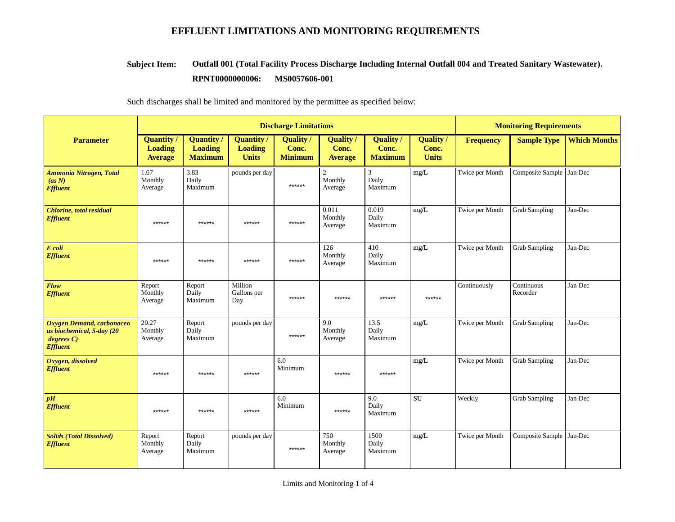#### **Outfall 001 (Total Facility Process Discharge Including Internal Outfall 004 and Treated Sanitary Wastewater). RPNT0000000006: MS0057606-001 Subject Item:**

|                                                                                       |                                                       |                                                       | <b>Discharge Limitations</b>                        | <b>Monitoring Requirements</b>              |                                     |                                             |                                           |                  |                          |                     |
|---------------------------------------------------------------------------------------|-------------------------------------------------------|-------------------------------------------------------|-----------------------------------------------------|---------------------------------------------|-------------------------------------|---------------------------------------------|-------------------------------------------|------------------|--------------------------|---------------------|
| <b>Parameter</b>                                                                      | <b>Quantity /</b><br><b>Loading</b><br><b>Average</b> | <b>Quantity</b> /<br><b>Loading</b><br><b>Maximum</b> | <b>Quantity</b> /<br><b>Loading</b><br><b>Units</b> | <b>Quality</b> /<br>Conc.<br><b>Minimum</b> | Quality/<br>Conc.<br><b>Average</b> | <b>Quality</b> /<br>Conc.<br><b>Maximum</b> | <b>Quality</b> /<br>Conc.<br><b>Units</b> | <b>Frequency</b> | <b>Sample Type</b>       | <b>Which Months</b> |
| <b>Ammonia Nitrogen, Total</b><br>(as N)<br><b>Effluent</b>                           | 1.67<br>Monthly<br>Average                            | 3.83<br>Daily<br>Maximum                              | pounds per day                                      | ******                                      | 2<br>Monthly<br>Average             | 3<br>Daily<br>Maximum                       | mg/L                                      | Twice per Month  | Composite Sample Jan-Dec |                     |
| <b>Chlorine</b> , total residual<br><b>Effluent</b>                                   | ******                                                | ******                                                | ******                                              | ******                                      | 0.011<br>Monthly<br>Average         | 0.019<br>Daily<br>Maximum                   | mg/L                                      | Twice per Month  | <b>Grab Sampling</b>     | Jan-Dec             |
| E coli<br><b>Effluent</b>                                                             | ******                                                | ******                                                | ******                                              | ******                                      | 126<br>Monthly<br>Average           | 410<br>Daily<br>Maximum                     | mg/L                                      | Twice per Month  | <b>Grab Sampling</b>     | Jan-Dec             |
| Flow<br><b>Effluent</b>                                                               | Report<br>Monthly<br>Average                          | Report<br>Daily<br>Maximum                            | Million<br>Gallons per<br>Day                       | ******                                      | ******                              | ******                                      | ******                                    | Continuously     | Continuous<br>Recorder   | Jan-Dec             |
| Oxygen Demand, carbonaceo<br>us biochemical, 5-day (20<br>degree C<br><b>Effluent</b> | 20.27<br>Monthly<br>Average                           | Report<br>Daily<br>Maximum                            | pounds per day                                      | ******                                      | 9.0<br>Monthly<br>Average           | 13.5<br>Daily<br>Maximum                    | mg/L                                      | Twice per Month  | <b>Grab Sampling</b>     | Jan-Dec             |
| Oxygen, dissolved<br><b>Effluent</b>                                                  | ******                                                | ******                                                | ******                                              | 6.0<br>Minimum                              | ******                              | ******                                      | mg/L                                      | Twice per Month  | <b>Grab Sampling</b>     | Jan-Dec             |
| pH<br><b>Effluent</b>                                                                 | ******                                                | $******$                                              | ******                                              | 6.0<br>Minimum                              | ******                              | 9.0<br>Daily<br>Maximum                     | <b>SU</b>                                 | Weekly           | <b>Grab Sampling</b>     | Jan-Dec             |
| <b>Solids (Total Dissolved)</b><br><b>Effluent</b>                                    | Report<br>Monthly<br>Average                          | Report<br>Daily<br>Maximum                            | pounds per day                                      | ******                                      | 750<br>Monthly<br>Average           | 1500<br>Daily<br>Maximum                    | mg/L                                      | Twice per Month  | Composite Sample Jan-Dec |                     |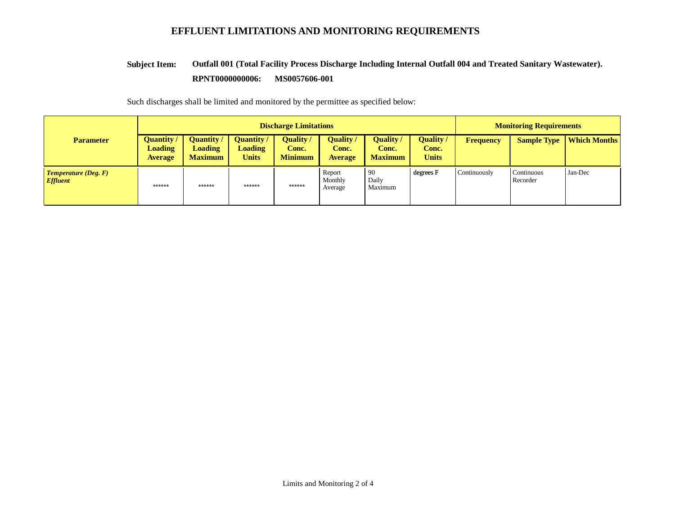#### **Outfall 001 (Total Facility Process Discharge Including Internal Outfall 004 and Treated Sanitary Wastewater). RPNT0000000006: MS0057606-001 Subject Item:**

|                                         | <b>Discharge Limitations</b>                          |                                                       |                                             |                                      |                                             |                                             |                                           |                  | <b>Monitoring Requirements</b> |                     |  |
|-----------------------------------------|-------------------------------------------------------|-------------------------------------------------------|---------------------------------------------|--------------------------------------|---------------------------------------------|---------------------------------------------|-------------------------------------------|------------------|--------------------------------|---------------------|--|
| <b>Parameter</b>                        | <b>Quantity</b> /<br><b>Loading</b><br><b>Average</b> | <b>Quantity</b> /<br><b>Loading</b><br><b>Maximum</b> | Quantity/<br><b>Loading</b><br><b>Units</b> | Quality /<br>Conc.<br><b>Minimum</b> | <b>Quality</b> /<br>Conc.<br><b>Average</b> | <b>Quality</b> /<br>Conc.<br><b>Maximum</b> | <b>Quality</b> /<br>Conc.<br><b>Units</b> | <b>Frequency</b> | <b>Sample Type</b>             | <b>Which Months</b> |  |
| <b>Temperature (Deg. F)</b><br>Effluent | $******$                                              | ******                                                | $******$                                    | $******$                             | Report<br>Monthly<br>Average                | 90<br>Daily<br>Maximum                      | degrees F                                 | Continuously     | Continuous<br>Recorder         | Jan-Dec             |  |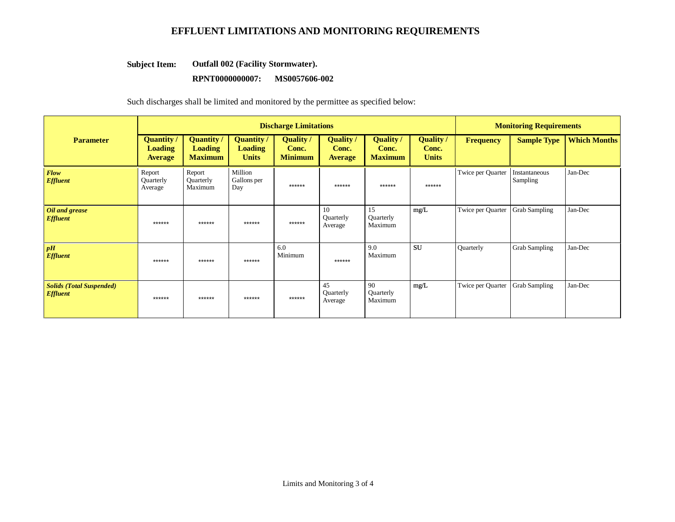#### **Outfall 002 (Facility Stormwater). Subject Item:**

#### **RPNT0000000007: MS0057606-002**

|                                                    |                                                       |                                                       | <b>Discharge Limitations</b>                        | <b>Monitoring Requirements</b>              |                                             |                                             |                                           |                   |                           |                     |
|----------------------------------------------------|-------------------------------------------------------|-------------------------------------------------------|-----------------------------------------------------|---------------------------------------------|---------------------------------------------|---------------------------------------------|-------------------------------------------|-------------------|---------------------------|---------------------|
| <b>Parameter</b>                                   | <b>Quantity</b> /<br><b>Loading</b><br><b>Average</b> | <b>Quantity /</b><br><b>Loading</b><br><b>Maximum</b> | <b>Quantity</b> /<br><b>Loading</b><br><b>Units</b> | <b>Quality</b> /<br>Conc.<br><b>Minimum</b> | <b>Quality</b> /<br>Conc.<br><b>Average</b> | <b>Quality</b> /<br>Conc.<br><b>Maximum</b> | <b>Quality</b> /<br>Conc.<br><b>Units</b> | <b>Frequency</b>  | <b>Sample Type</b>        | <b>Which Months</b> |
| <b>Flow</b><br><b>Effluent</b>                     | Report<br>Quarterly<br>Average                        | Report<br>Quarterly<br>Maximum                        | Million<br>Gallons per<br>Day                       | ******                                      | ******                                      | ******                                      | ******                                    | Twice per Quarter | Instantaneous<br>Sampling | Jan-Dec             |
| Oil and grease<br><b>Effluent</b>                  | ******                                                | ******                                                | ******                                              | ******                                      | 10<br>Quarterly<br>Average                  | 15<br>Quarterly<br>Maximum                  | mg/L                                      | Twice per Quarter | <b>Grab Sampling</b>      | Jan-Dec             |
| pH<br><b>Effluent</b>                              | ******                                                | ******                                                | ******                                              | 6.0<br>Minimum                              | ******                                      | 9.0<br>Maximum                              | <b>SU</b>                                 | Quarterly         | <b>Grab Sampling</b>      | Jan-Dec             |
| <b>Solids (Total Suspended)</b><br><b>Effluent</b> | ******                                                | ******                                                | ******                                              | ******                                      | 45<br>Quarterly<br>Average                  | 90<br>Quarterly<br>Maximum                  | mg/L                                      | Twice per Quarter | <b>Grab Sampling</b>      | Jan-Dec             |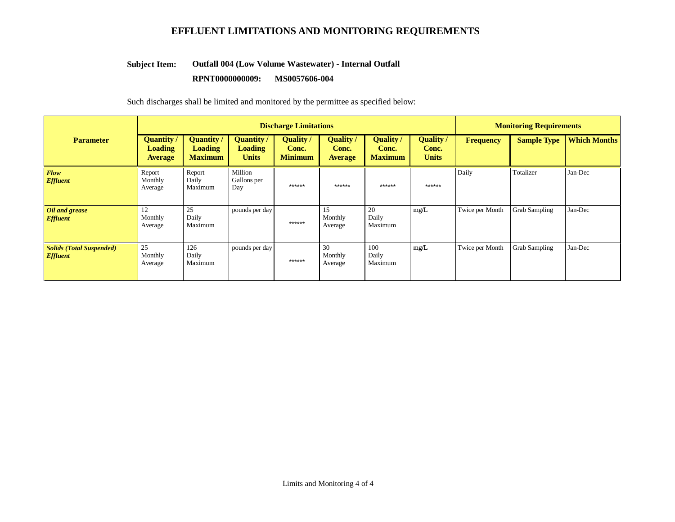#### **Outfall 004 (Low Volume Wastewater) - Internal Outfall Subject Item:**

#### **RPNT0000000009: MS0057606-004**

|                                                    | <b>Discharge Limitations</b>                          |                                                       |                                                     |                                      |                                             |                                             |                                           |                 | <b>Monitoring Requirements</b> |                     |  |
|----------------------------------------------------|-------------------------------------------------------|-------------------------------------------------------|-----------------------------------------------------|--------------------------------------|---------------------------------------------|---------------------------------------------|-------------------------------------------|-----------------|--------------------------------|---------------------|--|
| <b>Parameter</b>                                   | <b>Quantity</b> /<br><b>Loading</b><br><b>Average</b> | <b>Quantity</b> /<br><b>Loading</b><br><b>Maximum</b> | <b>Quantity</b> /<br><b>Loading</b><br><b>Units</b> | Quality /<br>Conc.<br><b>Minimum</b> | <b>Quality</b> /<br>Conc.<br><b>Average</b> | <b>Quality</b> /<br>Conc.<br><b>Maximum</b> | <b>Quality</b> /<br>Conc.<br><b>Units</b> | Frequency       | <b>Sample Type</b>             | <b>Which Months</b> |  |
| Flow<br><b>Effluent</b>                            | Report<br>Monthly<br>Average                          | Report<br>Daily<br>Maximum                            | Million<br>Gallons per<br>Day                       | ******                               | ******                                      | ******                                      | $******$                                  | Daily           | Totalizer                      | Jan-Dec             |  |
| Oil and grease<br><b>Effluent</b>                  | 12<br>Monthly<br>Average                              | 25<br>Daily<br>Maximum                                | pounds per day                                      | ******                               | 15<br>Monthly<br>Average                    | 20<br>Daily<br>Maximum                      | mg/L                                      | Twice per Month | <b>Grab Sampling</b>           | Jan-Dec             |  |
| <b>Solids (Total Suspended)</b><br><b>Effluent</b> | 25<br>Monthly<br>Average                              | 126<br>Daily<br>Maximum                               | pounds per day                                      | ******                               | 30<br>Monthly<br>Average                    | 100<br>Daily<br>Maximum                     | mg/L                                      | Twice per Month | <b>Grab Sampling</b>           | Jan-Dec             |  |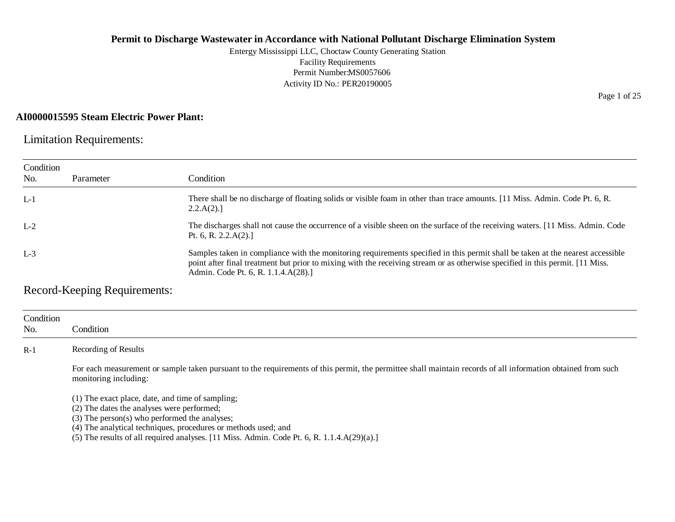Entergy Mississippi LLC, Choctaw County Generating Station Facility Requirements Permit Number:MS0057606 Activity ID No.: PER20190005

# **AI0000015595 Steam Electric Power Plant:**

Limitation Requirements:

| Condition |           |                                                                                                                                                                                                                                                                                                         |
|-----------|-----------|---------------------------------------------------------------------------------------------------------------------------------------------------------------------------------------------------------------------------------------------------------------------------------------------------------|
| No.       | Parameter | Condition                                                                                                                                                                                                                                                                                               |
| $L-1$     |           | There shall be no discharge of floating solids or visible foam in other than trace amounts. [11 Miss. Admin. Code Pt. 6, R.<br>2.2.A(2).                                                                                                                                                                |
| $L-2$     |           | The discharges shall not cause the occurrence of a visible sheen on the surface of the receiving waters. [11 Miss. Admin. Code<br>Pt. 6, R. $2.2.A(2).$                                                                                                                                                 |
| $L-3$     |           | Samples taken in compliance with the monitoring requirements specified in this permit shall be taken at the nearest accessible<br>point after final treatment but prior to mixing with the receiving stream or as otherwise specified in this permit. [11 Miss.]<br>Admin. Code Pt. 6, R. 1.1.4.A(28).] |

Record-Keeping Requirements:

| Condition<br>No. | Condition                                                                                                                                                                             |
|------------------|---------------------------------------------------------------------------------------------------------------------------------------------------------------------------------------|
| $R-1$            | Recording of Results                                                                                                                                                                  |
|                  | For each measurement or sample taken pursuant to the requirements of this permit, the permittee shall maintain records of all information obtained from such<br>monitoring including: |
|                  | (1) The exact place, date, and time of sampling;                                                                                                                                      |

(2) The dates the analyses were performed;

(3) The person(s) who performed the analyses;

(4) The analytical techniques, procedures or methods used; and

(5) The results of all required analyses. [11 Miss. Admin. Code Pt. 6, R. 1.1.4.A(29)(a).]

Page 1 of 25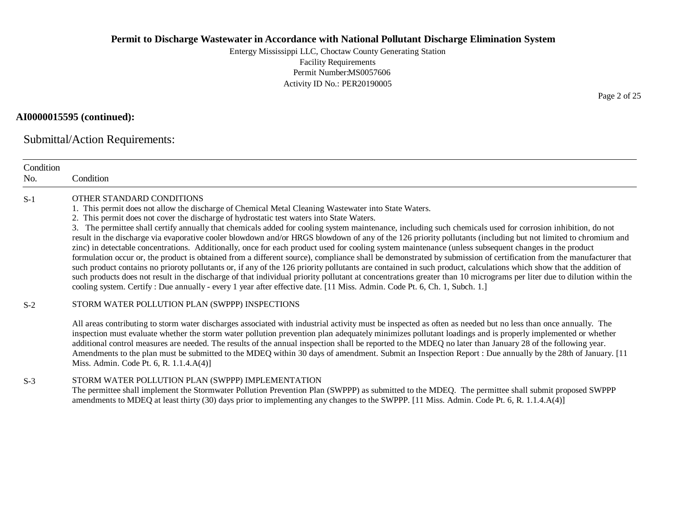Entergy Mississippi LLC, Choctaw County Generating Station Facility Requirements Permit Number:MS0057606 Activity ID No.: PER20190005

# **AI0000015595 (continued):**

Submittal/Action Requirements:

| Condition<br>No. | Condition                                                                                                                                                                                                                                                                                                                                                                                                                                                                                                                                                                                                                                                                                                                                                                                                                                                                                                                                                                                                                                                                                                                                                                                                                                                                                                                                                                  |
|------------------|----------------------------------------------------------------------------------------------------------------------------------------------------------------------------------------------------------------------------------------------------------------------------------------------------------------------------------------------------------------------------------------------------------------------------------------------------------------------------------------------------------------------------------------------------------------------------------------------------------------------------------------------------------------------------------------------------------------------------------------------------------------------------------------------------------------------------------------------------------------------------------------------------------------------------------------------------------------------------------------------------------------------------------------------------------------------------------------------------------------------------------------------------------------------------------------------------------------------------------------------------------------------------------------------------------------------------------------------------------------------------|
| $S-1$            | OTHER STANDARD CONDITIONS<br>1. This permit does not allow the discharge of Chemical Metal Cleaning Wastewater into State Waters.<br>2. This permit does not cover the discharge of hydrostatic test waters into State Waters.<br>3. The permittee shall certify annually that chemicals added for cooling system maintenance, including such chemicals used for corrosion inhibition, do not<br>result in the discharge via evaporative cooler blowdown and/or HRGS blowdown of any of the 126 priority pollutants (including but not limited to chromium and<br>zinc) in detectable concentrations. Additionally, once for each product used for cooling system maintenance (unless subsequent changes in the product<br>formulation occur or, the product is obtained from a different source), compliance shall be demonstrated by submission of certification from the manufacturer that<br>such product contains no prioroty pollutants or, if any of the 126 priority pollutants are contained in such product, calculations which show that the addition of<br>such products does not result in the discharge of that individual priority pollutant at concentrations greater than 10 micrograms per liter due to dilution within the<br>cooling system. Certify: Due annually - every 1 year after effective date. [11 Miss. Admin. Code Pt. 6, Ch. 1, Subch. 1.] |
| $S-2$            | STORM WATER POLLUTION PLAN (SWPPP) INSPECTIONS                                                                                                                                                                                                                                                                                                                                                                                                                                                                                                                                                                                                                                                                                                                                                                                                                                                                                                                                                                                                                                                                                                                                                                                                                                                                                                                             |
|                  | All areas contributing to storm water discharges associated with industrial activity must be inspected as often as needed but no less than once annually. The<br>inspection must evaluate whether the storm water pollution prevention plan adequately minimizes pollutant loadings and is properly implemented or whether<br>additional control measures are needed. The results of the annual inspection shall be reported to the MDEQ no later than January 28 of the following year.<br>Amendments to the plan must be submitted to the MDEQ within 30 days of amendment. Submit an Inspection Report : Due annually by the 28th of January. [11<br>Miss. Admin. Code Pt. 6, R. 1.1.4.A(4)]                                                                                                                                                                                                                                                                                                                                                                                                                                                                                                                                                                                                                                                                            |
| $S-3$            | STORM WATER POLLUTION PLAN (SWPPP) IMPLEMENTATION<br>The permittee shall implement the Stormwater Pollution Prevention Plan (SWPPP) as submitted to the MDEQ. The permittee shall submit proposed SWPPP<br>amendments to MDEQ at least thirty (30) days prior to implementing any changes to the SWPPP. [11 Miss. Admin. Code Pt. 6, R. 1.1.4.A(4)]                                                                                                                                                                                                                                                                                                                                                                                                                                                                                                                                                                                                                                                                                                                                                                                                                                                                                                                                                                                                                        |

Page 2 of 25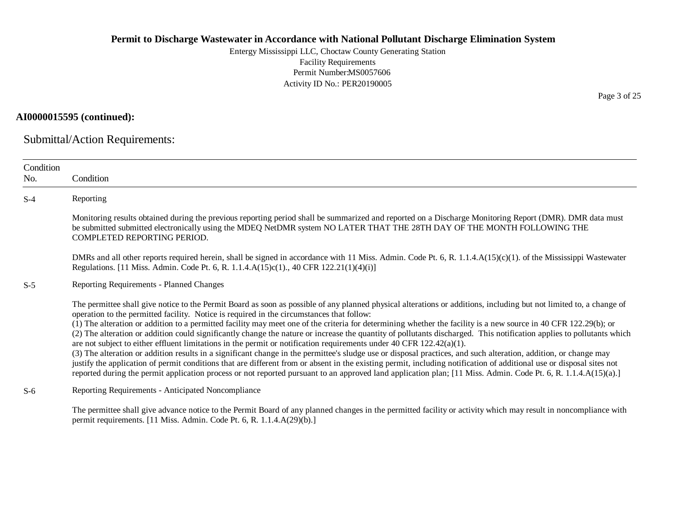Entergy Mississippi LLC, Choctaw County Generating Station Facility Requirements Permit Number:MS0057606 Activity ID No.: PER20190005

# **AI0000015595 (continued):**

Submittal/Action Requirements:

| Condition<br>No. | Condition                                                                                                                                                                                                                                                                                                                                                                                                                                                                                                                                                                                                                                                                                                                                                                                                                                                                                                                                                                                                                                                                                                                                                                                                                                               |
|------------------|---------------------------------------------------------------------------------------------------------------------------------------------------------------------------------------------------------------------------------------------------------------------------------------------------------------------------------------------------------------------------------------------------------------------------------------------------------------------------------------------------------------------------------------------------------------------------------------------------------------------------------------------------------------------------------------------------------------------------------------------------------------------------------------------------------------------------------------------------------------------------------------------------------------------------------------------------------------------------------------------------------------------------------------------------------------------------------------------------------------------------------------------------------------------------------------------------------------------------------------------------------|
| $S-4$            | Reporting                                                                                                                                                                                                                                                                                                                                                                                                                                                                                                                                                                                                                                                                                                                                                                                                                                                                                                                                                                                                                                                                                                                                                                                                                                               |
|                  | Monitoring results obtained during the previous reporting period shall be summarized and reported on a Discharge Monitoring Report (DMR). DMR data must<br>be submitted submitted electronically using the MDEQ NetDMR system NO LATER THAT THE 28TH DAY OF THE MONTH FOLLOWING THE<br>COMPLETED REPORTING PERIOD.                                                                                                                                                                                                                                                                                                                                                                                                                                                                                                                                                                                                                                                                                                                                                                                                                                                                                                                                      |
|                  | DMRs and all other reports required herein, shall be signed in accordance with 11 Miss. Admin. Code Pt. 6, R. 1.1.4.A(15)(c)(1). of the Mississippi Wastewater<br>Regulations. [11 Miss. Admin. Code Pt. 6, R. 1.1.4.A(15)c(1)., 40 CFR 122.21(1)(4)(i)]                                                                                                                                                                                                                                                                                                                                                                                                                                                                                                                                                                                                                                                                                                                                                                                                                                                                                                                                                                                                |
| $S-5$            | Reporting Requirements - Planned Changes                                                                                                                                                                                                                                                                                                                                                                                                                                                                                                                                                                                                                                                                                                                                                                                                                                                                                                                                                                                                                                                                                                                                                                                                                |
|                  | The permittee shall give notice to the Permit Board as soon as possible of any planned physical alterations or additions, including but not limited to, a change of<br>operation to the permitted facility. Notice is required in the circumstances that follow:<br>(1) The alteration or addition to a permitted facility may meet one of the criteria for determining whether the facility is a new source in 40 CFR 122.29(b); or<br>(2) The alteration or addition could significantly change the nature or increase the quantity of pollutants discharged. This notification applies to pollutants which<br>are not subject to either effluent limitations in the permit or notification requirements under 40 CFR $122.42(a)(1)$ .<br>(3) The alteration or addition results in a significant change in the permittee's sludge use or disposal practices, and such alteration, addition, or change may<br>justify the application of permit conditions that are different from or absent in the existing permit, including notification of additional use or disposal sites not<br>reported during the permit application process or not reported pursuant to an approved land application plan; [11 Miss. Admin. Code Pt. 6, R. 1.1.4.A(15)(a).] |
| $S-6$            | Reporting Requirements - Anticipated Noncompliance                                                                                                                                                                                                                                                                                                                                                                                                                                                                                                                                                                                                                                                                                                                                                                                                                                                                                                                                                                                                                                                                                                                                                                                                      |
|                  | The permittee shall give advance notice to the Permit Board of any planned changes in the permitted facility or activity which may result in noncompliance with<br>permit requirements. [11 Miss. Admin. Code Pt. 6, R. 1.1.4.A(29)(b).]                                                                                                                                                                                                                                                                                                                                                                                                                                                                                                                                                                                                                                                                                                                                                                                                                                                                                                                                                                                                                |

Page 3 of 25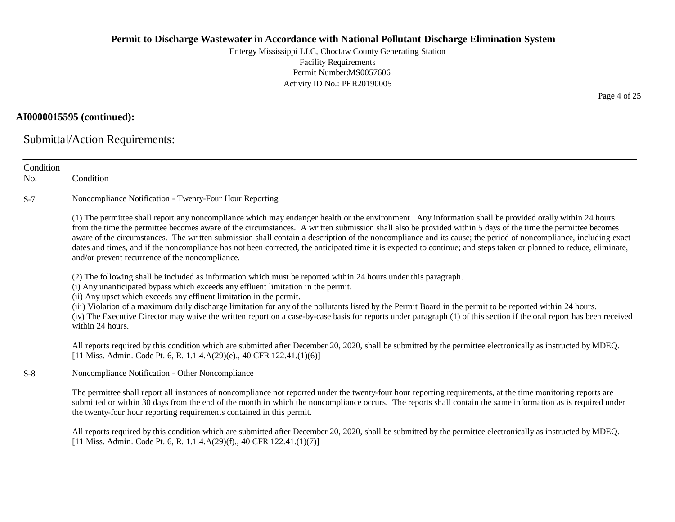Entergy Mississippi LLC, Choctaw County Generating Station Facility Requirements Permit Number:MS0057606 Activity ID No.: PER20190005

# **AI0000015595 (continued):**

Submittal/Action Requirements:

| Condition<br>No. | Condition                                                                                                                                                                                                                                                                                                                                                                                                                                                                                                                                                                                                                                                                                                           |
|------------------|---------------------------------------------------------------------------------------------------------------------------------------------------------------------------------------------------------------------------------------------------------------------------------------------------------------------------------------------------------------------------------------------------------------------------------------------------------------------------------------------------------------------------------------------------------------------------------------------------------------------------------------------------------------------------------------------------------------------|
| $S-7$            | Noncompliance Notification - Twenty-Four Hour Reporting                                                                                                                                                                                                                                                                                                                                                                                                                                                                                                                                                                                                                                                             |
|                  | (1) The permittee shall report any noncompliance which may endanger health or the environment. Any information shall be provided orally within 24 hours<br>from the time the permittee becomes aware of the circumstances. A written submission shall also be provided within 5 days of the time the permittee becomes<br>aware of the circumstances. The written submission shall contain a description of the noncompliance and its cause; the period of noncompliance, including exact<br>dates and times, and if the noncompliance has not been corrected, the anticipated time it is expected to continue; and steps taken or planned to reduce, eliminate,<br>and/or prevent recurrence of the noncompliance. |
|                  | (2) The following shall be included as information which must be reported within 24 hours under this paragraph.<br>(i) Any unanticipated bypass which exceeds any effluent limitation in the permit.<br>(ii) Any upset which exceeds any effluent limitation in the permit.<br>(iii) Violation of a maximum daily discharge limitation for any of the pollutants listed by the Permit Board in the permit to be reported within 24 hours.<br>(iv) The Executive Director may waive the written report on a case-by-case basis for reports under paragraph (1) of this section if the oral report has been received<br>within 24 hours.                                                                              |
|                  | All reports required by this condition which are submitted after December 20, 2020, shall be submitted by the permittee electronically as instructed by MDEQ.<br>[11 Miss. Admin. Code Pt. 6, R. 1.1.4.A(29)(e)., 40 CFR 122.41.(1)(6)]                                                                                                                                                                                                                                                                                                                                                                                                                                                                             |
| $S-8$            | Noncompliance Notification - Other Noncompliance                                                                                                                                                                                                                                                                                                                                                                                                                                                                                                                                                                                                                                                                    |
|                  | The permittee shall report all instances of noncompliance not reported under the twenty-four hour reporting requirements, at the time monitoring reports are<br>submitted or within 30 days from the end of the month in which the noncompliance occurs. The reports shall contain the same information as is required under<br>the twenty-four hour reporting requirements contained in this permit.                                                                                                                                                                                                                                                                                                               |
|                  | All reports required by this condition which are submitted after December 20, 2020, shall be submitted by the permittee electronically as instructed by MDEQ.<br>[11 Miss. Admin. Code Pt. 6, R. 1.1.4.A(29)(f)., 40 CFR 122.41.(1)(7)]                                                                                                                                                                                                                                                                                                                                                                                                                                                                             |

Page 4 of 25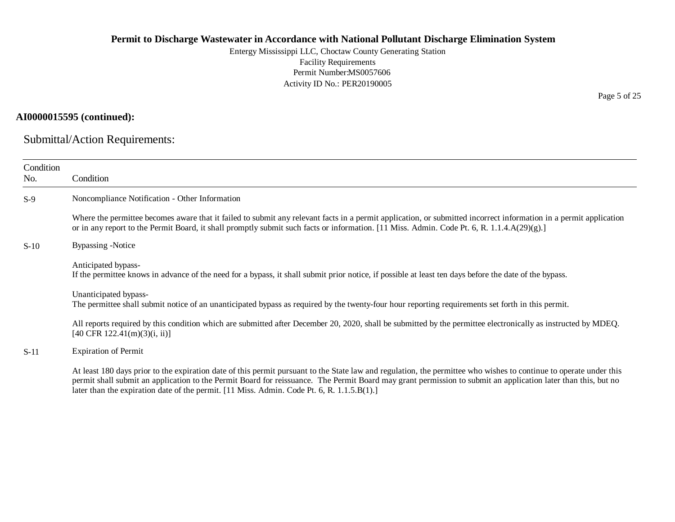Entergy Mississippi LLC, Choctaw County Generating Station Facility Requirements Permit Number:MS0057606 Activity ID No.: PER20190005

# **AI0000015595 (continued):**

Submittal/Action Requirements:

| Condition<br>No. | Condition                                                                                                                                                                                                                                                                                                                                                                                                                         |
|------------------|-----------------------------------------------------------------------------------------------------------------------------------------------------------------------------------------------------------------------------------------------------------------------------------------------------------------------------------------------------------------------------------------------------------------------------------|
| $S-9$            | Noncompliance Notification - Other Information                                                                                                                                                                                                                                                                                                                                                                                    |
|                  | Where the permittee becomes aware that it failed to submit any relevant facts in a permit application, or submitted incorrect information in a permit application<br>or in any report to the Permit Board, it shall promptly submit such facts or information. [11 Miss. Admin. Code Pt. 6, R. 1.1.4.A(29)(g).]                                                                                                                   |
| $S-10$           | <b>Bypassing -Notice</b>                                                                                                                                                                                                                                                                                                                                                                                                          |
|                  | Anticipated bypass-<br>If the permittee knows in advance of the need for a bypass, it shall submit prior notice, if possible at least ten days before the date of the bypass.                                                                                                                                                                                                                                                     |
|                  | Unanticipated bypass-<br>The permittee shall submit notice of an unanticipated bypass as required by the twenty-four hour reporting requirements set forth in this permit.                                                                                                                                                                                                                                                        |
|                  | All reports required by this condition which are submitted after December 20, 2020, shall be submitted by the permittee electronically as instructed by MDEQ.<br>$[40 \text{ CFR } 122.41 \text{ (m)}(3)$ (i, ii)]                                                                                                                                                                                                                |
| $S-11$           | <b>Expiration of Permit</b>                                                                                                                                                                                                                                                                                                                                                                                                       |
|                  | At least 180 days prior to the expiration date of this permit pursuant to the State law and regulation, the permittee who wishes to continue to operate under this<br>permit shall submit an application to the Permit Board for reissuance. The Permit Board may grant permission to submit an application later than this, but no<br>later than the expiration date of the permit. [11 Miss. Admin. Code Pt. 6, R. 1.1.5.B(1).] |

Page 5 of 25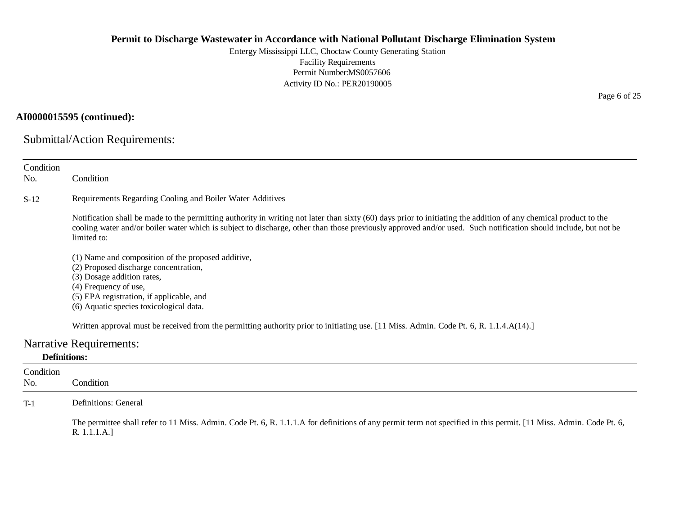Entergy Mississippi LLC, Choctaw County Generating Station Facility Requirements Permit Number:MS0057606 Activity ID No.: PER20190005

# **AI0000015595 (continued):**

Submittal/Action Requirements:

| Condition<br>No.    | Condition                                                                                                                                                                                                                                                                                                                                          |
|---------------------|----------------------------------------------------------------------------------------------------------------------------------------------------------------------------------------------------------------------------------------------------------------------------------------------------------------------------------------------------|
|                     |                                                                                                                                                                                                                                                                                                                                                    |
| $S-12$              | Requirements Regarding Cooling and Boiler Water Additives                                                                                                                                                                                                                                                                                          |
|                     | Notification shall be made to the permitting authority in writing not later than sixty (60) days prior to initiating the addition of any chemical product to the<br>cooling water and/or boiler water which is subject to discharge, other than those previously approved and/or used. Such notification should include, but not be<br>limited to: |
|                     | (1) Name and composition of the proposed additive,                                                                                                                                                                                                                                                                                                 |
|                     | (2) Proposed discharge concentration,                                                                                                                                                                                                                                                                                                              |
|                     | (3) Dosage addition rates,                                                                                                                                                                                                                                                                                                                         |
|                     | (4) Frequency of use,                                                                                                                                                                                                                                                                                                                              |
|                     | (5) EPA registration, if applicable, and                                                                                                                                                                                                                                                                                                           |
|                     | (6) Aquatic species toxicological data.                                                                                                                                                                                                                                                                                                            |
|                     | Written approval must be received from the permitting authority prior to initiating use. [11 Miss. Admin. Code Pt. 6, R. 1.1.4.A(14).]                                                                                                                                                                                                             |
|                     | <b>Narrative Requirements:</b>                                                                                                                                                                                                                                                                                                                     |
| <b>Definitions:</b> |                                                                                                                                                                                                                                                                                                                                                    |
| Condition           |                                                                                                                                                                                                                                                                                                                                                    |
| No.                 | Condition                                                                                                                                                                                                                                                                                                                                          |
| $T-1$               | Definitions: General                                                                                                                                                                                                                                                                                                                               |
|                     | The permittee shall refer to 11 Miss. Admin. Code Pt. 6, R. 1.1.1.A for definitions of any permit term not specified in this permit. [11 Miss. Admin. Code Pt. 6,                                                                                                                                                                                  |

R. 1.1.1.A.]

Page 6 of 25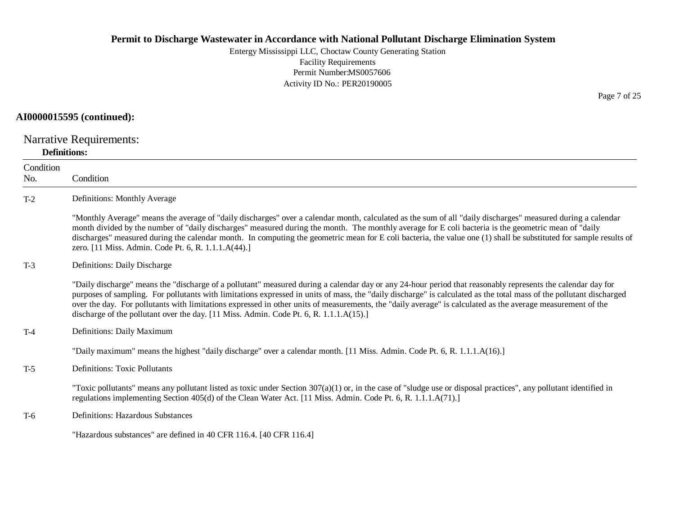Entergy Mississippi LLC, Choctaw County Generating Station Facility Requirements Permit Number:MS0057606 Activity ID No.: PER20190005

# **AI0000015595 (continued):**

Narrative Requirements:

## **Definitions:**

| Condition<br>No. | Condition                                                                                                                                                                                                                                                                                                                                                                                                                                                                                                                                                                                   |
|------------------|---------------------------------------------------------------------------------------------------------------------------------------------------------------------------------------------------------------------------------------------------------------------------------------------------------------------------------------------------------------------------------------------------------------------------------------------------------------------------------------------------------------------------------------------------------------------------------------------|
| $T-2$            | Definitions: Monthly Average                                                                                                                                                                                                                                                                                                                                                                                                                                                                                                                                                                |
|                  | "Monthly Average" means the average of "daily discharges" over a calendar month, calculated as the sum of all "daily discharges" measured during a calendar<br>month divided by the number of "daily discharges" measured during the month. The monthly average for E coli bacteria is the geometric mean of "daily<br>discharges" measured during the calendar month. In computing the geometric mean for E coli bacteria, the value one (1) shall be substituted for sample results of<br>zero. [11 Miss. Admin. Code Pt. 6, R. 1.1.1.A(44).]                                             |
| $T-3$            | Definitions: Daily Discharge                                                                                                                                                                                                                                                                                                                                                                                                                                                                                                                                                                |
|                  | "Daily discharge" means the "discharge of a pollutant" measured during a calendar day or any 24-hour period that reasonably represents the calendar day for<br>purposes of sampling. For pollutants with limitations expressed in units of mass, the "daily discharge" is calculated as the total mass of the pollutant discharged<br>over the day. For pollutants with limitations expressed in other units of measurements, the "daily average" is calculated as the average measurement of the<br>discharge of the pollutant over the day. [11 Miss. Admin. Code Pt. 6, R. 1.1.1.A(15).] |
| $T-4$            | Definitions: Daily Maximum                                                                                                                                                                                                                                                                                                                                                                                                                                                                                                                                                                  |
|                  | "Daily maximum" means the highest "daily discharge" over a calendar month. [11 Miss. Admin. Code Pt. 6, R. 1.1.1.A(16).]                                                                                                                                                                                                                                                                                                                                                                                                                                                                    |
| $T-5$            | <b>Definitions: Toxic Pollutants</b>                                                                                                                                                                                                                                                                                                                                                                                                                                                                                                                                                        |
|                  | "Toxic pollutants" means any pollutant listed as toxic under Section $307(a)(1)$ or, in the case of "sludge use or disposal practices", any pollutant identified in<br>regulations implementing Section 405(d) of the Clean Water Act. [11 Miss. Admin. Code Pt. 6, R. 1.1.1.A(71).]                                                                                                                                                                                                                                                                                                        |
| $T-6$            | <b>Definitions: Hazardous Substances</b>                                                                                                                                                                                                                                                                                                                                                                                                                                                                                                                                                    |
|                  | "Hazardous substances" are defined in 40 CFR 116.4. [40 CFR 116.4]                                                                                                                                                                                                                                                                                                                                                                                                                                                                                                                          |

Page 7 of 25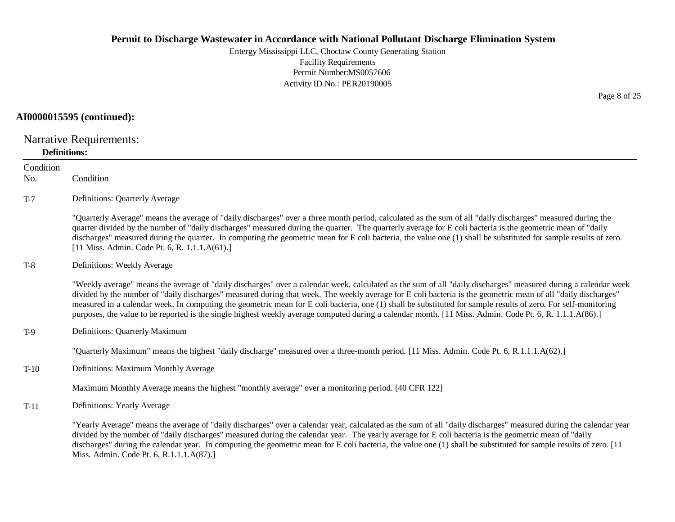Entergy Mississippi LLC, Choctaw County Generating Station Facility Requirements Permit Number:MS0057606 Activity ID No.: PER20190005

#### **AI0000015595 (continued):**

Narrative Requirements:

#### **Definitions:**

**Condition** No. Condition T-7 Definitions: Quarterly Average "Quarterly Average" means the average of "daily discharges" over a three month period, calculated as the sum of all "daily discharges" measured during the quarter divided by the number of "daily discharges" measured during the quarter. The quarterly average for E coli bacteria is the geometric mean of "daily discharges" measured during the quarter. In computing the geometric mean for E coli bacteria, the value one (1) shall be substituted for sample results of zero. [11 Miss. Admin. Code Pt. 6, R. 1.1.1.A(61).] T-8 Definitions: Weekly Average "Weekly average" means the average of "daily discharges" over a calendar week, calculated as the sum of all "daily discharges" measured during a calendar week divided by the number of "daily discharges" measured during that week. The weekly average for E coli bacteria is the geometric mean of all "daily discharges" measured in a calendar week. In computing the geometric mean for E coli bacteria, one (1) shall be substituted for sample results of zero. For self-monitoring purposes, the value to be reported is the single highest weekly average computed during a calendar month. [11 Miss. Admin. Code Pt. 6, R. 1.1.1.A(86).] T-9 Definitions: Quarterly Maximum "Quarterly Maximum" means the highest "daily discharge" measured over a three-month period. [11 Miss. Admin. Code Pt. 6, R.1.1.1.A(62).] T-10 Definitions: Maximum Monthly Average Maximum Monthly Average means the highest "monthly average" over a monitoring period. [40 CFR 122] T-11 Definitions: Yearly Average "Yearly Average" means the average of "daily discharges" over a calendar year, calculated as the sum of all "daily discharges" measured during the calendar year divided by the number of "daily discharges" measured during the calendar year. The yearly average for E coli bacteria is the geometric mean of "daily discharges" during the calendar year. In computing the geometric mean for E coli bacteria, the value one (1) shall be substituted for sample results of zero. [11] Miss. Admin. Code Pt. 6, R.1.1.1.A(87).]

Page 8 of 25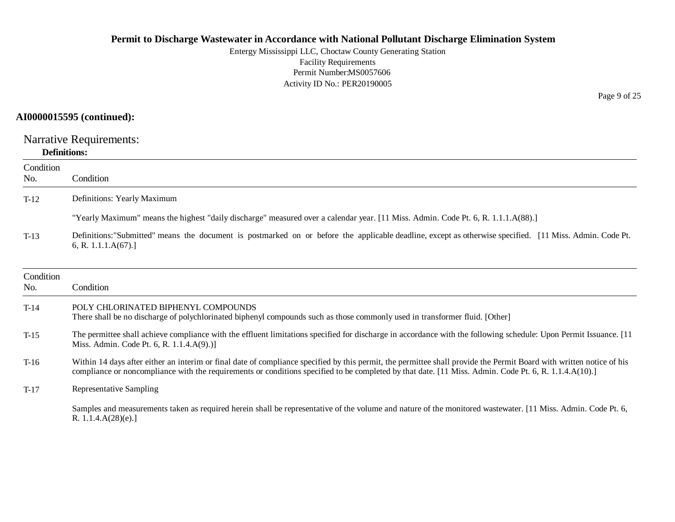Entergy Mississippi LLC, Choctaw County Generating Station Facility Requirements Permit Number:MS0057606 Activity ID No.: PER20190005

# **AI0000015595 (continued):**

Narrative Requirements:

# **Definitions:**

| Condition<br>No. | Condition                                                                                                                                                                                                                                                                                                                     |
|------------------|-------------------------------------------------------------------------------------------------------------------------------------------------------------------------------------------------------------------------------------------------------------------------------------------------------------------------------|
| $T-12$           | Definitions: Yearly Maximum                                                                                                                                                                                                                                                                                                   |
|                  | "Yearly Maximum" means the highest "daily discharge" measured over a calendar year. [11 Miss. Admin. Code Pt. 6, R. 1.1.1.A(88).]                                                                                                                                                                                             |
| $T-13$           | Definitions: "Submitted" means the document is postmarked on or before the applicable deadline, except as otherwise specified. [11 Miss. Admin. Code Pt.<br>6, R. 1.1.1. $A(67)$ .]                                                                                                                                           |
| Condition<br>No. | Condition                                                                                                                                                                                                                                                                                                                     |
| $T-14$           | POLY CHLORINATED BIPHENYL COMPOUNDS<br>There shall be no discharge of polychlorinated biphenyl compounds such as those commonly used in transformer fluid. [Other]                                                                                                                                                            |
| $T-15$           | The permittee shall achieve compliance with the effluent limitations specified for discharge in accordance with the following schedule: Upon Permit Issuance. [11]<br>Miss. Admin. Code Pt. 6, R. 1.1.4.A(9).)]                                                                                                               |
| $T-16$           | Within 14 days after either an interim or final date of compliance specified by this permit, the permittee shall provide the Permit Board with written notice of his<br>compliance or noncompliance with the requirements or conditions specified to be completed by that date. [11 Miss. Admin. Code Pt. 6, R. 1.1.4.A(10).] |
| $T-17$           | Representative Sampling                                                                                                                                                                                                                                                                                                       |
|                  | Samples and measurements taken as required herein shall be representative of the volume and nature of the monitored wastewater. [11 Miss. Admin. Code Pt. 6,<br>R. $1.1.4.A(28)(e).$                                                                                                                                          |

Page 9 of 25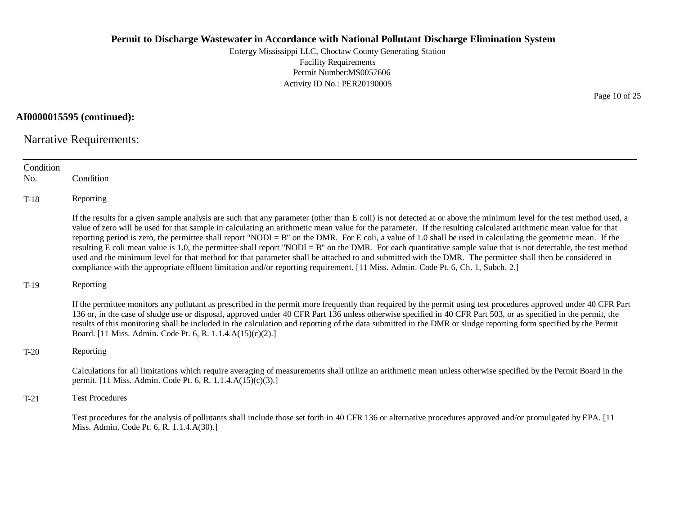Entergy Mississippi LLC, Choctaw County Generating Station Facility Requirements Permit Number:MS0057606 Activity ID No.: PER20190005

**AI0000015595 (continued):**

Narrative Requirements:

| Condition<br>No. | Condition                                                                                                                                                                                                                                                                                                                                                                                                                                                                                                                                                                                                                                                                                                                                                                                                                                                                                                                                                                      |
|------------------|--------------------------------------------------------------------------------------------------------------------------------------------------------------------------------------------------------------------------------------------------------------------------------------------------------------------------------------------------------------------------------------------------------------------------------------------------------------------------------------------------------------------------------------------------------------------------------------------------------------------------------------------------------------------------------------------------------------------------------------------------------------------------------------------------------------------------------------------------------------------------------------------------------------------------------------------------------------------------------|
| $T-18$           | Reporting                                                                                                                                                                                                                                                                                                                                                                                                                                                                                                                                                                                                                                                                                                                                                                                                                                                                                                                                                                      |
|                  | If the results for a given sample analysis are such that any parameter (other than E coli) is not detected at or above the minimum level for the test method used, a<br>value of zero will be used for that sample in calculating an arithmetic mean value for the parameter. If the resulting calculated arithmetic mean value for that<br>reporting period is zero, the permittee shall report "NODI = B" on the DMR. For E coli, a value of 1.0 shall be used in calculating the geometric mean. If the<br>resulting E coli mean value is 1.0, the permittee shall report "NODI = B" on the DMR. For each quantitative sample value that is not detectable, the test method<br>used and the minimum level for that method for that parameter shall be attached to and submitted with the DMR. The permittee shall then be considered in<br>compliance with the appropriate effluent limitation and/or reporting requirement. [11 Miss. Admin. Code Pt. 6, Ch. 1, Subch. 2.] |
| $T-19$           | Reporting                                                                                                                                                                                                                                                                                                                                                                                                                                                                                                                                                                                                                                                                                                                                                                                                                                                                                                                                                                      |
|                  | If the permittee monitors any pollutant as prescribed in the permit more frequently than required by the permit using test procedures approved under 40 CFR Part<br>136 or, in the case of sludge use or disposal, approved under 40 CFR Part 136 unless otherwise specified in 40 CFR Part 503, or as specified in the permit, the<br>results of this monitoring shall be included in the calculation and reporting of the data submitted in the DMR or sludge reporting form specified by the Permit<br>Board. [11 Miss. Admin. Code Pt. 6, R. 1.1.4.A(15)(c)(2).]                                                                                                                                                                                                                                                                                                                                                                                                           |
| $T-20$           | Reporting                                                                                                                                                                                                                                                                                                                                                                                                                                                                                                                                                                                                                                                                                                                                                                                                                                                                                                                                                                      |
|                  | Calculations for all limitations which require averaging of measurements shall utilize an arithmetic mean unless otherwise specified by the Permit Board in the<br>permit. [11 Miss. Admin. Code Pt. 6, R. 1.1.4.A(15)(c)(3).]                                                                                                                                                                                                                                                                                                                                                                                                                                                                                                                                                                                                                                                                                                                                                 |
| $T-21$           | <b>Test Procedures</b>                                                                                                                                                                                                                                                                                                                                                                                                                                                                                                                                                                                                                                                                                                                                                                                                                                                                                                                                                         |
|                  | Test procedures for the analysis of pollutants shall include those set forth in 40 CFR 136 or alternative procedures approved and/or promulgated by EPA. [11]<br>Miss. Admin. Code Pt. 6, R. 1.1.4.A(30).]                                                                                                                                                                                                                                                                                                                                                                                                                                                                                                                                                                                                                                                                                                                                                                     |

Page 10 of 25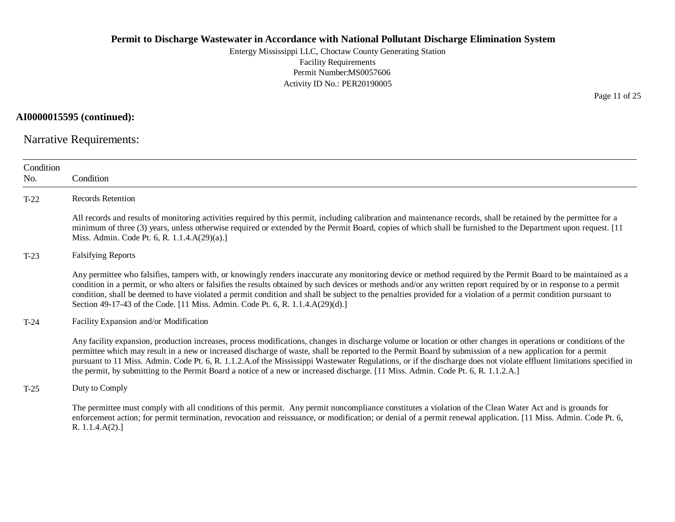Entergy Mississippi LLC, Choctaw County Generating Station Facility Requirements Permit Number:MS0057606 Activity ID No.: PER20190005

**AI0000015595 (continued):**

Narrative Requirements:

| Condition<br>No. | Condition                                                                                                                                                                                                                                                                                                                                                                                                                                                                                                                                                                                                                                   |
|------------------|---------------------------------------------------------------------------------------------------------------------------------------------------------------------------------------------------------------------------------------------------------------------------------------------------------------------------------------------------------------------------------------------------------------------------------------------------------------------------------------------------------------------------------------------------------------------------------------------------------------------------------------------|
| $T-22$           | <b>Records Retention</b>                                                                                                                                                                                                                                                                                                                                                                                                                                                                                                                                                                                                                    |
|                  | All records and results of monitoring activities required by this permit, including calibration and maintenance records, shall be retained by the permittee for a<br>minimum of three (3) years, unless otherwise required or extended by the Permit Board, copies of which shall be furnished to the Department upon request. [11]<br>Miss. Admin. Code Pt. 6, R. 1.1.4.A(29)(a).]                                                                                                                                                                                                                                                         |
| $T-23$           | <b>Falsifying Reports</b>                                                                                                                                                                                                                                                                                                                                                                                                                                                                                                                                                                                                                   |
|                  | Any permittee who falsifies, tampers with, or knowingly renders inaccurate any monitoring device or method required by the Permit Board to be maintained as a<br>condition in a permit, or who alters or falsifies the results obtained by such devices or methods and/or any written report required by or in response to a permit<br>condition, shall be deemed to have violated a permit condition and shall be subject to the penalties provided for a violation of a permit condition pursuant to<br>Section 49-17-43 of the Code. [11 Miss. Admin. Code Pt. 6, R. 1.1.4.A(29)(d).]                                                    |
| $T-24$           | Facility Expansion and/or Modification                                                                                                                                                                                                                                                                                                                                                                                                                                                                                                                                                                                                      |
|                  | Any facility expansion, production increases, process modifications, changes in discharge volume or location or other changes in operations or conditions of the<br>permittee which may result in a new or increased discharge of waste, shall be reported to the Permit Board by submission of a new application for a permit<br>pursuant to 11 Miss. Admin. Code Pt. 6, R. 1.1.2.A.of the Mississippi Wastewater Regulations, or if the discharge does not violate effluent limitations specified in<br>the permit, by submitting to the Permit Board a notice of a new or increased discharge. [11 Miss. Admin. Code Pt. 6, R. 1.1.2.A.] |
| $T-25$           | Duty to Comply                                                                                                                                                                                                                                                                                                                                                                                                                                                                                                                                                                                                                              |
|                  | The permittee must comply with all conditions of this permit. Any permit noncompliance constitutes a violation of the Clean Water Act and is grounds for<br>enforcement action; for permit termination, revocation and reissuance, or modification; or denial of a permit renewal application. [11 Miss. Admin. Code Pt. 6,<br>R. 1.1.4.A(2).                                                                                                                                                                                                                                                                                               |

Page 11 of 25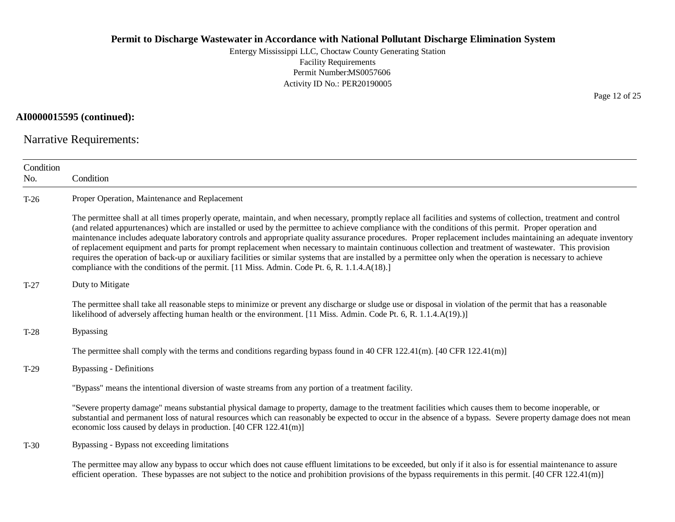Entergy Mississippi LLC, Choctaw County Generating Station Facility Requirements Permit Number:MS0057606 Activity ID No.: PER20190005

## **AI0000015595 (continued):**

Narrative Requirements:

| Condition |                                                                                                                                                                                                                                                                                                                                                                                                                                                                                                                                                                                                                                                                                                                                                                                                                                                                                                                          |
|-----------|--------------------------------------------------------------------------------------------------------------------------------------------------------------------------------------------------------------------------------------------------------------------------------------------------------------------------------------------------------------------------------------------------------------------------------------------------------------------------------------------------------------------------------------------------------------------------------------------------------------------------------------------------------------------------------------------------------------------------------------------------------------------------------------------------------------------------------------------------------------------------------------------------------------------------|
| No.       | Condition                                                                                                                                                                                                                                                                                                                                                                                                                                                                                                                                                                                                                                                                                                                                                                                                                                                                                                                |
| $T-26$    | Proper Operation, Maintenance and Replacement                                                                                                                                                                                                                                                                                                                                                                                                                                                                                                                                                                                                                                                                                                                                                                                                                                                                            |
|           | The permittee shall at all times properly operate, maintain, and when necessary, promptly replace all facilities and systems of collection, treatment and control<br>(and related appurtenances) which are installed or used by the permittee to achieve compliance with the conditions of this permit. Proper operation and<br>maintenance includes adequate laboratory controls and appropriate quality assurance procedures. Proper replacement includes maintaining an adequate inventory<br>of replacement equipment and parts for prompt replacement when necessary to maintain continuous collection and treatment of wastewater. This provision<br>requires the operation of back-up or auxiliary facilities or similar systems that are installed by a permittee only when the operation is necessary to achieve<br>compliance with the conditions of the permit. [11 Miss. Admin. Code Pt. 6, R. 1.1.4.A(18).] |
| $T-27$    | Duty to Mitigate                                                                                                                                                                                                                                                                                                                                                                                                                                                                                                                                                                                                                                                                                                                                                                                                                                                                                                         |
|           | The permittee shall take all reasonable steps to minimize or prevent any discharge or sludge use or disposal in violation of the permit that has a reasonable<br>likelihood of adversely affecting human health or the environment. [11 Miss. Admin. Code Pt. 6, R. 1.1.4.A(19).)]                                                                                                                                                                                                                                                                                                                                                                                                                                                                                                                                                                                                                                       |
| $T-28$    | <b>Bypassing</b>                                                                                                                                                                                                                                                                                                                                                                                                                                                                                                                                                                                                                                                                                                                                                                                                                                                                                                         |
|           | The permittee shall comply with the terms and conditions regarding bypass found in 40 CFR 122.41(m). [40 CFR 122.41(m)]                                                                                                                                                                                                                                                                                                                                                                                                                                                                                                                                                                                                                                                                                                                                                                                                  |
| $T-29$    | <b>Bypassing - Definitions</b>                                                                                                                                                                                                                                                                                                                                                                                                                                                                                                                                                                                                                                                                                                                                                                                                                                                                                           |
|           | "Bypass" means the intentional diversion of waste streams from any portion of a treatment facility.                                                                                                                                                                                                                                                                                                                                                                                                                                                                                                                                                                                                                                                                                                                                                                                                                      |
|           | "Severe property damage" means substantial physical damage to property, damage to the treatment facilities which causes them to become inoperable, or<br>substantial and permanent loss of natural resources which can reasonably be expected to occur in the absence of a bypass. Severe property damage does not mean<br>economic loss caused by delays in production. [40 CFR 122.41(m)]                                                                                                                                                                                                                                                                                                                                                                                                                                                                                                                              |
| $T-30$    | Bypassing - Bypass not exceeding limitations                                                                                                                                                                                                                                                                                                                                                                                                                                                                                                                                                                                                                                                                                                                                                                                                                                                                             |
|           | The permittee may allow any bypass to occur which does not cause effluent limitations to be exceeded, but only if it also is for essential maintenance to assure<br>efficient operation. These bypasses are not subject to the notice and prohibition provisions of the bypass requirements in this permit. $[40 \text{ CFR } 122.41 \text{ (m)}]$                                                                                                                                                                                                                                                                                                                                                                                                                                                                                                                                                                       |

Page 12 of 25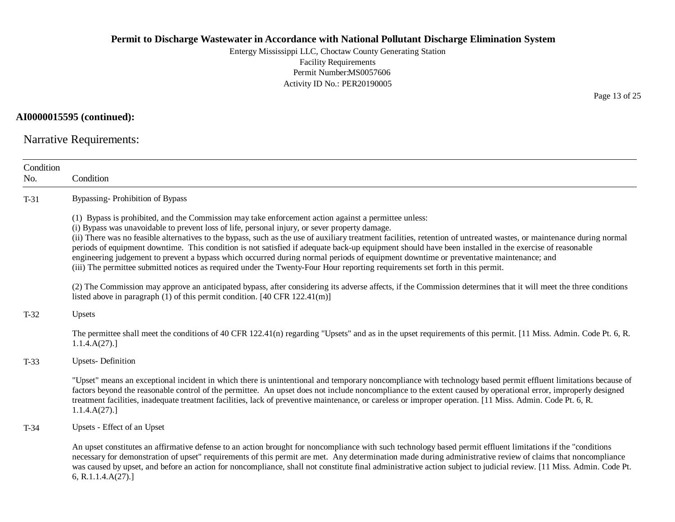Entergy Mississippi LLC, Choctaw County Generating Station Facility Requirements Permit Number:MS0057606 Activity ID No.: PER20190005

# **AI0000015595 (continued):**

Narrative Requirements:

| Condition<br>No. | Condition                                                                                                                                                                                                                                                                                                                                                                                                                                                                                                                                                                                                                                                                                                                                                                                                          |
|------------------|--------------------------------------------------------------------------------------------------------------------------------------------------------------------------------------------------------------------------------------------------------------------------------------------------------------------------------------------------------------------------------------------------------------------------------------------------------------------------------------------------------------------------------------------------------------------------------------------------------------------------------------------------------------------------------------------------------------------------------------------------------------------------------------------------------------------|
| $T-31$           | <b>Bypassing-Prohibition of Bypass</b>                                                                                                                                                                                                                                                                                                                                                                                                                                                                                                                                                                                                                                                                                                                                                                             |
|                  | (1) Bypass is prohibited, and the Commission may take enforcement action against a permittee unless:<br>(i) Bypass was unavoidable to prevent loss of life, personal injury, or sever property damage.<br>(ii) There was no feasible alternatives to the bypass, such as the use of auxiliary treatment facilities, retention of untreated wastes, or maintenance during normal<br>periods of equipment downtime. This condition is not satisfied if adequate back-up equipment should have been installed in the exercise of reasonable<br>engineering judgement to prevent a bypass which occurred during normal periods of equipment downtime or preventative maintenance; and<br>(iii) The permittee submitted notices as required under the Twenty-Four Hour reporting requirements set forth in this permit. |
|                  | (2) The Commission may approve an anticipated bypass, after considering its adverse affects, if the Commission determines that it will meet the three conditions<br>listed above in paragraph $(1)$ of this permit condition. [40 CFR 122.41(m)]                                                                                                                                                                                                                                                                                                                                                                                                                                                                                                                                                                   |
| $T-32$           | <b>Upsets</b>                                                                                                                                                                                                                                                                                                                                                                                                                                                                                                                                                                                                                                                                                                                                                                                                      |
|                  | The permittee shall meet the conditions of 40 CFR 122.41(n) regarding "Upsets" and as in the upset requirements of this permit. [11 Miss. Admin. Code Pt. 6, R.<br>1.1.4.A(27).                                                                                                                                                                                                                                                                                                                                                                                                                                                                                                                                                                                                                                    |
| $T-33$           | <b>Upsets-Definition</b>                                                                                                                                                                                                                                                                                                                                                                                                                                                                                                                                                                                                                                                                                                                                                                                           |
|                  | "Upset" means an exceptional incident in which there is unintentional and temporary noncompliance with technology based permit effluent limitations because of<br>factors beyond the reasonable control of the permittee. An upset does not include noncompliance to the extent caused by operational error, improperly designed<br>treatment facilities, inadequate treatment facilities, lack of preventive maintenance, or careless or improper operation. [11 Miss. Admin. Code Pt. 6, R.<br>1.1.4.A(27).                                                                                                                                                                                                                                                                                                      |
| $T-34$           | Upsets - Effect of an Upset                                                                                                                                                                                                                                                                                                                                                                                                                                                                                                                                                                                                                                                                                                                                                                                        |
|                  | An upset constitutes an affirmative defense to an action brought for noncompliance with such technology based permit effluent limitations if the "conditions"<br>necessary for demonstration of upset" requirements of this permit are met. Any determination made during administrative review of claims that noncompliance<br>was caused by upset, and before an action for noncompliance, shall not constitute final administrative action subject to judicial review. [11 Miss. Admin. Code Pt.<br>6, R.1.1.4. $A(27)$ .]                                                                                                                                                                                                                                                                                      |

Page 13 of 25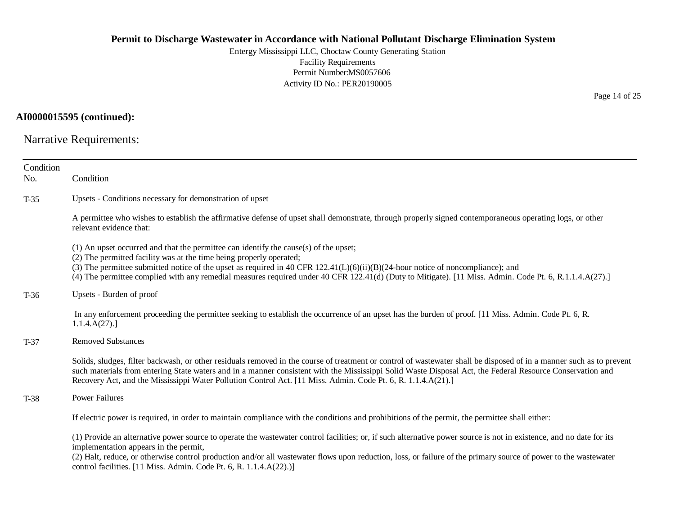Entergy Mississippi LLC, Choctaw County Generating Station Facility Requirements Permit Number:MS0057606 Activity ID No.: PER20190005

# **AI0000015595 (continued):**

Narrative Requirements:

| Condition<br>No. | Condition                                                                                                                                                                                                                                                                                                                                                                                                                                                                    |
|------------------|------------------------------------------------------------------------------------------------------------------------------------------------------------------------------------------------------------------------------------------------------------------------------------------------------------------------------------------------------------------------------------------------------------------------------------------------------------------------------|
| $T-35$           | Upsets - Conditions necessary for demonstration of upset                                                                                                                                                                                                                                                                                                                                                                                                                     |
|                  | A permittee who wishes to establish the affirmative defense of upset shall demonstrate, through properly signed contemporaneous operating logs, or other<br>relevant evidence that:                                                                                                                                                                                                                                                                                          |
|                  | (1) An upset occurred and that the permittee can identify the cause(s) of the upset;<br>(2) The permitted facility was at the time being properly operated;<br>(3) The permittee submitted notice of the upset as required in 40 CFR 122.41( $L$ )( $6$ )( $i$ i)( $B$ )( $24$ -hour notice of noncompliance); and<br>(4) The permittee complied with any remedial measures required under 40 CFR 122.41(d) (Duty to Mitigate). [11 Miss. Admin. Code Pt. 6, R.1.1.4.A(27).] |
| $T-36$           | Upsets - Burden of proof                                                                                                                                                                                                                                                                                                                                                                                                                                                     |
|                  | In any enforcement proceeding the permittee seeking to establish the occurrence of an upset has the burden of proof. [11 Miss. Admin. Code Pt. 6, R.<br>1.1.4.A(27).                                                                                                                                                                                                                                                                                                         |
| $T-37$           | <b>Removed Substances</b>                                                                                                                                                                                                                                                                                                                                                                                                                                                    |
|                  | Solids, sludges, filter backwash, or other residuals removed in the course of treatment or control of wastewater shall be disposed of in a manner such as to prevent<br>such materials from entering State waters and in a manner consistent with the Mississippi Solid Waste Disposal Act, the Federal Resource Conservation and<br>Recovery Act, and the Mississippi Water Pollution Control Act. [11 Miss. Admin. Code Pt. 6, R. 1.1.4.A(21).]                            |
| $T-38$           | <b>Power Failures</b>                                                                                                                                                                                                                                                                                                                                                                                                                                                        |
|                  | If electric power is required, in order to maintain compliance with the conditions and prohibitions of the permit, the permittee shall either:                                                                                                                                                                                                                                                                                                                               |
|                  | (1) Provide an alternative power source to operate the wastewater control facilities; or, if such alternative power source is not in existence, and no date for its<br>implementation appears in the permit,<br>(2) Halt, reduce, or otherwise control production and/or all wastewater flows upon reduction, loss, or failure of the primary source of power to the wastewater<br>control facilities. [11 Miss. Admin. Code Pt. 6, R. 1.1.4.A(22).)]                        |

Page 14 of 25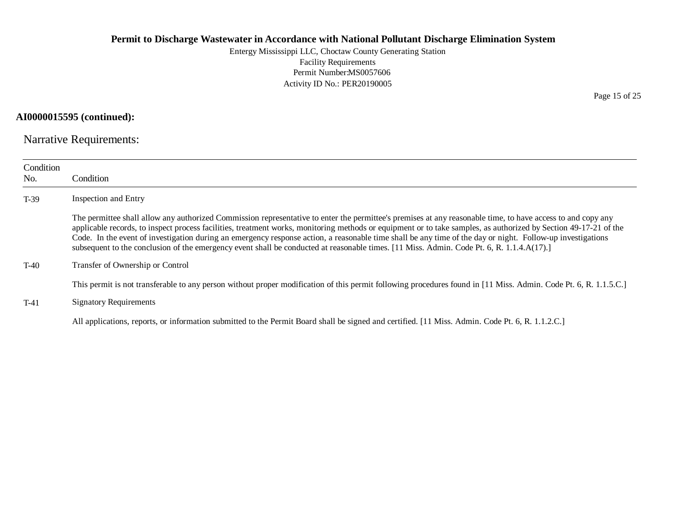Entergy Mississippi LLC, Choctaw County Generating Station Facility Requirements Permit Number:MS0057606 Activity ID No.: PER20190005

# **AI0000015595 (continued):**

Narrative Requirements:

| Condition<br>No. | Condition                                                                                                                                                                                                                                                                                                                                                                                                                                                                                                                                                                                                                                  |
|------------------|--------------------------------------------------------------------------------------------------------------------------------------------------------------------------------------------------------------------------------------------------------------------------------------------------------------------------------------------------------------------------------------------------------------------------------------------------------------------------------------------------------------------------------------------------------------------------------------------------------------------------------------------|
| $T-39$           | Inspection and Entry                                                                                                                                                                                                                                                                                                                                                                                                                                                                                                                                                                                                                       |
|                  | The permittee shall allow any authorized Commission representative to enter the permittee's premises at any reasonable time, to have access to and copy any<br>applicable records, to inspect process facilities, treatment works, monitoring methods or equipment or to take samples, as authorized by Section 49-17-21 of the<br>Code. In the event of investigation during an emergency response action, a reasonable time shall be any time of the day or night. Follow-up investigations<br>subsequent to the conclusion of the emergency event shall be conducted at reasonable times. [11 Miss. Admin. Code Pt. 6, R. 1.1.4.A(17).] |
| $T-40$           | Transfer of Ownership or Control                                                                                                                                                                                                                                                                                                                                                                                                                                                                                                                                                                                                           |
|                  | This permit is not transferable to any person without proper modification of this permit following procedures found in [11 Miss. Admin. Code Pt. 6, R. 1.1.5.C.]                                                                                                                                                                                                                                                                                                                                                                                                                                                                           |
| $T-41$           | <b>Signatory Requirements</b>                                                                                                                                                                                                                                                                                                                                                                                                                                                                                                                                                                                                              |
|                  | All applications, reports, or information submitted to the Permit Board shall be signed and certified. [11 Miss. Admin. Code Pt. 6, R. 1.1.2.C.]                                                                                                                                                                                                                                                                                                                                                                                                                                                                                           |

Page 15 of 25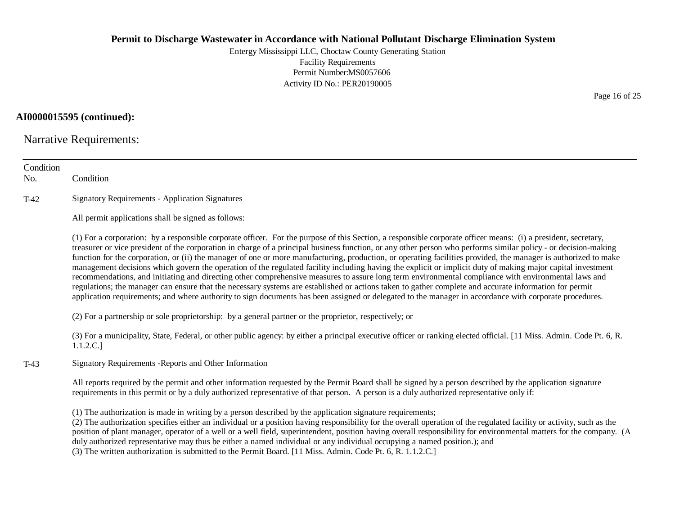Entergy Mississippi LLC, Choctaw County Generating Station Facility Requirements Permit Number:MS0057606 Activity ID No.: PER20190005

# **AI0000015595 (continued):**

Narrative Requirements:

| Condition<br>No. | Condition                                                                                                                                                                                                                                                                                                                                                                                                                                                                                                                                                                                                                                                                                                                                                                                                                                                                                                                                                                                                                                                                                                                                      |
|------------------|------------------------------------------------------------------------------------------------------------------------------------------------------------------------------------------------------------------------------------------------------------------------------------------------------------------------------------------------------------------------------------------------------------------------------------------------------------------------------------------------------------------------------------------------------------------------------------------------------------------------------------------------------------------------------------------------------------------------------------------------------------------------------------------------------------------------------------------------------------------------------------------------------------------------------------------------------------------------------------------------------------------------------------------------------------------------------------------------------------------------------------------------|
| $T-42$           | <b>Signatory Requirements - Application Signatures</b>                                                                                                                                                                                                                                                                                                                                                                                                                                                                                                                                                                                                                                                                                                                                                                                                                                                                                                                                                                                                                                                                                         |
|                  | All permit applications shall be signed as follows:                                                                                                                                                                                                                                                                                                                                                                                                                                                                                                                                                                                                                                                                                                                                                                                                                                                                                                                                                                                                                                                                                            |
|                  | (1) For a corporation: by a responsible corporate officer. For the purpose of this Section, a responsible corporate officer means: (i) a president, secretary,<br>treasurer or vice president of the corporation in charge of a principal business function, or any other person who performs similar policy - or decision-making<br>function for the corporation, or (ii) the manager of one or more manufacturing, production, or operating facilities provided, the manager is authorized to make<br>management decisions which govern the operation of the regulated facility including having the explicit or implicit duty of making major capital investment<br>recommendations, and initiating and directing other comprehensive measures to assure long term environmental compliance with environmental laws and<br>regulations; the manager can ensure that the necessary systems are established or actions taken to gather complete and accurate information for permit<br>application requirements; and where authority to sign documents has been assigned or delegated to the manager in accordance with corporate procedures. |
|                  | (2) For a partnership or sole proprietorship: by a general partner or the proprietor, respectively; or                                                                                                                                                                                                                                                                                                                                                                                                                                                                                                                                                                                                                                                                                                                                                                                                                                                                                                                                                                                                                                         |
|                  | (3) For a municipality, State, Federal, or other public agency: by either a principal executive officer or ranking elected official. [11 Miss. Admin. Code Pt. 6, R.<br>1.1.2.C.]                                                                                                                                                                                                                                                                                                                                                                                                                                                                                                                                                                                                                                                                                                                                                                                                                                                                                                                                                              |
| $T-43$           | Signatory Requirements - Reports and Other Information                                                                                                                                                                                                                                                                                                                                                                                                                                                                                                                                                                                                                                                                                                                                                                                                                                                                                                                                                                                                                                                                                         |
|                  | All reports required by the permit and other information requested by the Permit Board shall be signed by a person described by the application signature<br>requirements in this permit or by a duly authorized representative of that person. A person is a duly authorized representative only if:                                                                                                                                                                                                                                                                                                                                                                                                                                                                                                                                                                                                                                                                                                                                                                                                                                          |
|                  | (1) The authorization is made in writing by a person described by the application signature requirements;<br>(2) The authorization specifies either an individual or a position having responsibility for the overall operation of the regulated facility or activity, such as the<br>position of plant manager, operator of a well or a well field, superintendent, position having overall responsibility for environmental matters for the company. (A<br>duly authorized representative may thus be either a named individual or any individual occupying a named position.); and<br>a saturday and the transfer and compared                                                                                                                                                                                                                                                                                                                                                                                                                                                                                                              |

(3) The written authorization is submitted to the Permit Board. [11 Miss. Admin. Code Pt. 6, R. 1.1.2.C.]

Page 16 of 25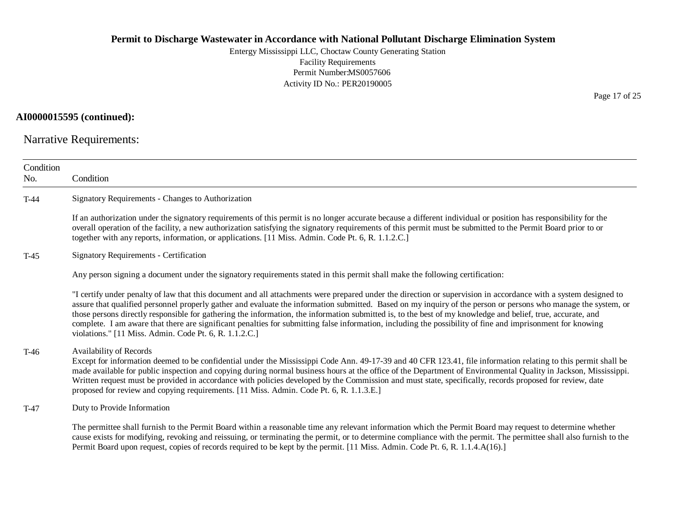Entergy Mississippi LLC, Choctaw County Generating Station Facility Requirements Permit Number:MS0057606 Activity ID No.: PER20190005

# **AI0000015595 (continued):**

Narrative Requirements:

| Condition<br>No. | Condition                                                                                                                                                                                                                                                                                                                                                                                                                                                                                                                                                                                                                                                                                                                |
|------------------|--------------------------------------------------------------------------------------------------------------------------------------------------------------------------------------------------------------------------------------------------------------------------------------------------------------------------------------------------------------------------------------------------------------------------------------------------------------------------------------------------------------------------------------------------------------------------------------------------------------------------------------------------------------------------------------------------------------------------|
| $T-44$           | Signatory Requirements - Changes to Authorization                                                                                                                                                                                                                                                                                                                                                                                                                                                                                                                                                                                                                                                                        |
|                  | If an authorization under the signatory requirements of this permit is no longer accurate because a different individual or position has responsibility for the<br>overall operation of the facility, a new authorization satisfying the signatory requirements of this permit must be submitted to the Permit Board prior to or<br>together with any reports, information, or applications. [11 Miss. Admin. Code Pt. 6, R. 1.1.2.C.]                                                                                                                                                                                                                                                                                   |
| $T-45$           | <b>Signatory Requirements - Certification</b>                                                                                                                                                                                                                                                                                                                                                                                                                                                                                                                                                                                                                                                                            |
|                  | Any person signing a document under the signatory requirements stated in this permit shall make the following certification:                                                                                                                                                                                                                                                                                                                                                                                                                                                                                                                                                                                             |
|                  | "I certify under penalty of law that this document and all attachments were prepared under the direction or supervision in accordance with a system designed to<br>assure that qualified personnel properly gather and evaluate the information submitted. Based on my inquiry of the person or persons who manage the system, or<br>those persons directly responsible for gathering the information, the information submitted is, to the best of my knowledge and belief, true, accurate, and<br>complete. I am aware that there are significant penalties for submitting false information, including the possibility of fine and imprisonment for knowing<br>violations." [11 Miss. Admin. Code Pt. 6, R. 1.1.2.C.] |
| T-46             | Availability of Records<br>Except for information deemed to be confidential under the Mississippi Code Ann. 49-17-39 and 40 CFR 123.41, file information relating to this permit shall be<br>made available for public inspection and copying during normal business hours at the office of the Department of Environmental Quality in Jackson, Mississippi.<br>Written request must be provided in accordance with policies developed by the Commission and must state, specifically, records proposed for review, date<br>proposed for review and copying requirements. [11 Miss. Admin. Code Pt. 6, R. 1.1.3.E.]                                                                                                      |
| T-47             | Duty to Provide Information                                                                                                                                                                                                                                                                                                                                                                                                                                                                                                                                                                                                                                                                                              |
|                  | The permittee shall furnish to the Permit Board within a reasonable time any relevant information which the Permit Board may request to determine whether<br>cause exists for modifying, revoking and reissuing, or terminating the permit, or to determine compliance with the permit. The permittee shall also furnish to the<br>Permit Board upon request, copies of records required to be kept by the permit. [11 Miss. Admin. Code Pt. 6, R. 1.1.4.A(16).]                                                                                                                                                                                                                                                         |

Page 17 of 25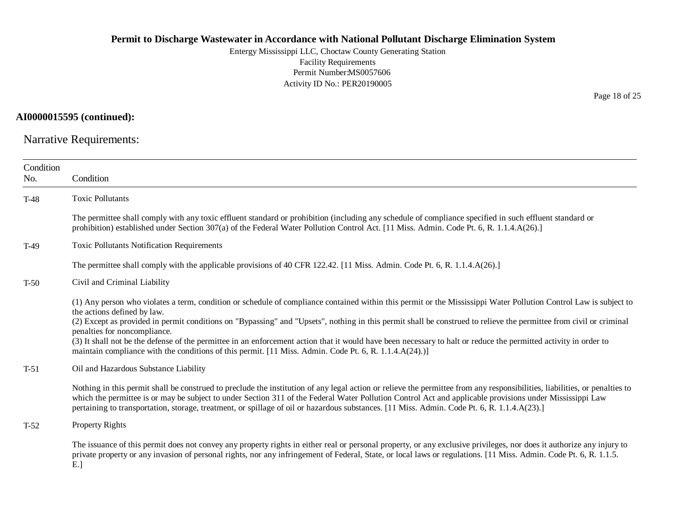Entergy Mississippi LLC, Choctaw County Generating Station Facility Requirements Permit Number:MS0057606 Activity ID No.: PER20190005

Page 18 of 25

**AI0000015595 (continued):**

Narrative Requirements:

| Condition<br>No. | Condition                                                                                                                                                                                                                                                                                                                                                                                                                                                                                                                                                                                                                                                                            |
|------------------|--------------------------------------------------------------------------------------------------------------------------------------------------------------------------------------------------------------------------------------------------------------------------------------------------------------------------------------------------------------------------------------------------------------------------------------------------------------------------------------------------------------------------------------------------------------------------------------------------------------------------------------------------------------------------------------|
| $T-48$           | <b>Toxic Pollutants</b>                                                                                                                                                                                                                                                                                                                                                                                                                                                                                                                                                                                                                                                              |
|                  | The permittee shall comply with any toxic effluent standard or prohibition (including any schedule of compliance specified in such effluent standard or<br>prohibition) established under Section 307(a) of the Federal Water Pollution Control Act. [11 Miss. Admin. Code Pt. 6, R. 1.1.4.A(26).]                                                                                                                                                                                                                                                                                                                                                                                   |
| $T-49$           | <b>Toxic Pollutants Notification Requirements</b>                                                                                                                                                                                                                                                                                                                                                                                                                                                                                                                                                                                                                                    |
|                  | The permittee shall comply with the applicable provisions of 40 CFR 122.42. [11 Miss. Admin. Code Pt. 6, R. 1.1.4.A(26).]                                                                                                                                                                                                                                                                                                                                                                                                                                                                                                                                                            |
| $T-50$           | Civil and Criminal Liability                                                                                                                                                                                                                                                                                                                                                                                                                                                                                                                                                                                                                                                         |
|                  | (1) Any person who violates a term, condition or schedule of compliance contained within this permit or the Mississippi Water Pollution Control Law is subject to<br>the actions defined by law.<br>(2) Except as provided in permit conditions on "Bypassing" and "Upsets", nothing in this permit shall be construed to relieve the permittee from civil or criminal<br>penalties for noncompliance.<br>(3) It shall not be the defense of the permittee in an enforcement action that it would have been necessary to halt or reduce the permitted activity in order to<br>maintain compliance with the conditions of this permit. [11 Miss. Admin. Code Pt. 6, R. 1.1.4.A(24).)] |
| $T-51$           | Oil and Hazardous Substance Liability                                                                                                                                                                                                                                                                                                                                                                                                                                                                                                                                                                                                                                                |
|                  | Nothing in this permit shall be construed to preclude the institution of any legal action or relieve the permittee from any responsibilities, liabilities, or penalties to<br>which the permittee is or may be subject to under Section 311 of the Federal Water Pollution Control Act and applicable provisions under Mississippi Law<br>pertaining to transportation, storage, treatment, or spillage of oil or hazardous substances. [11 Miss. Admin. Code Pt. 6, R. 1.1.4.A(23).]                                                                                                                                                                                                |
| $T-52$           | Property Rights                                                                                                                                                                                                                                                                                                                                                                                                                                                                                                                                                                                                                                                                      |
|                  | The issuance of this permit does not convey any property rights in either real or personal property, or any exclusive privileges, nor does it authorize any injury to<br>private property or any invasion of personal rights, nor any infringement of Federal, State, or local laws or regulations. [11 Miss. Admin. Code Pt. 6, R. 1.1.5.                                                                                                                                                                                                                                                                                                                                           |

E.]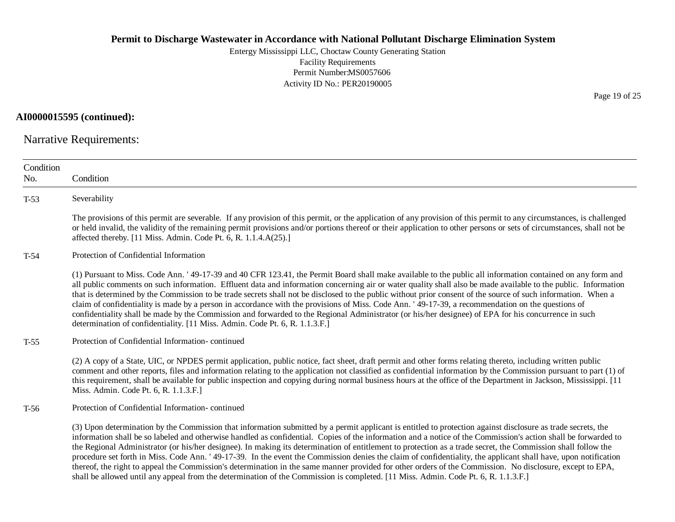Entergy Mississippi LLC, Choctaw County Generating Station Facility Requirements Permit Number:MS0057606 Activity ID No.: PER20190005

**AI0000015595 (continued):**

Narrative Requirements:

| Condition<br>No. | Condition                                                                                                                                                                                                                                                                                                                                                                                                                                                                                                                                                                                                                                                                                                                                                                                                                                                                                                                                                            |
|------------------|----------------------------------------------------------------------------------------------------------------------------------------------------------------------------------------------------------------------------------------------------------------------------------------------------------------------------------------------------------------------------------------------------------------------------------------------------------------------------------------------------------------------------------------------------------------------------------------------------------------------------------------------------------------------------------------------------------------------------------------------------------------------------------------------------------------------------------------------------------------------------------------------------------------------------------------------------------------------|
| $T-53$           | Severability                                                                                                                                                                                                                                                                                                                                                                                                                                                                                                                                                                                                                                                                                                                                                                                                                                                                                                                                                         |
|                  | The provisions of this permit are severable. If any provision of this permit, or the application of any provision of this permit to any circumstances, is challenged<br>or held invalid, the validity of the remaining permit provisions and/or portions thereof or their application to other persons or sets of circumstances, shall not be<br>affected thereby. [11 Miss. Admin. Code Pt. 6, R. 1.1.4.A(25).]                                                                                                                                                                                                                                                                                                                                                                                                                                                                                                                                                     |
| $T-54$           | Protection of Confidential Information                                                                                                                                                                                                                                                                                                                                                                                                                                                                                                                                                                                                                                                                                                                                                                                                                                                                                                                               |
|                  | (1) Pursuant to Miss. Code Ann. '49-17-39 and 40 CFR 123.41, the Permit Board shall make available to the public all information contained on any form and<br>all public comments on such information. Effluent data and information concerning air or water quality shall also be made available to the public. Information<br>that is determined by the Commission to be trade secrets shall not be disclosed to the public without prior consent of the source of such information. When a<br>claim of confidentiality is made by a person in accordance with the provisions of Miss. Code Ann. '49-17-39, a recommendation on the questions of<br>confidentiality shall be made by the Commission and forwarded to the Regional Administrator (or his/her designee) of EPA for his concurrence in such<br>determination of confidentiality. [11 Miss. Admin. Code Pt. 6, R. 1.1.3.F.]                                                                            |
| $T-55$           | Protection of Confidential Information-continued                                                                                                                                                                                                                                                                                                                                                                                                                                                                                                                                                                                                                                                                                                                                                                                                                                                                                                                     |
|                  | (2) A copy of a State, UIC, or NPDES permit application, public notice, fact sheet, draft permit and other forms relating thereto, including written public<br>comment and other reports, files and information relating to the application not classified as confidential information by the Commission pursuant to part (1) of<br>this requirement, shall be available for public inspection and copying during normal business hours at the office of the Department in Jackson, Mississippi. [11<br>Miss. Admin. Code Pt. 6, R. 1.1.3.F.]                                                                                                                                                                                                                                                                                                                                                                                                                        |
| $T-56$           | Protection of Confidential Information-continued                                                                                                                                                                                                                                                                                                                                                                                                                                                                                                                                                                                                                                                                                                                                                                                                                                                                                                                     |
|                  | (3) Upon determination by the Commission that information submitted by a permit applicant is entitled to protection against disclosure as trade secrets, the<br>information shall be so labeled and otherwise handled as confidential. Copies of the information and a notice of the Commission's action shall be forwarded to<br>the Regional Administrator (or his/her designee). In making its determination of entitlement to protection as a trade secret, the Commission shall follow the<br>procedure set forth in Miss. Code Ann. '49-17-39. In the event the Commission denies the claim of confidentiality, the applicant shall have, upon notification<br>thereof, the right to appeal the Commission's determination in the same manner provided for other orders of the Commission. No disclosure, except to EPA,<br>shall be allowed until any appeal from the determination of the Commission is completed. [11 Miss. Admin. Code Pt. 6, R. 1.1.3.F.] |

Page 19 of 25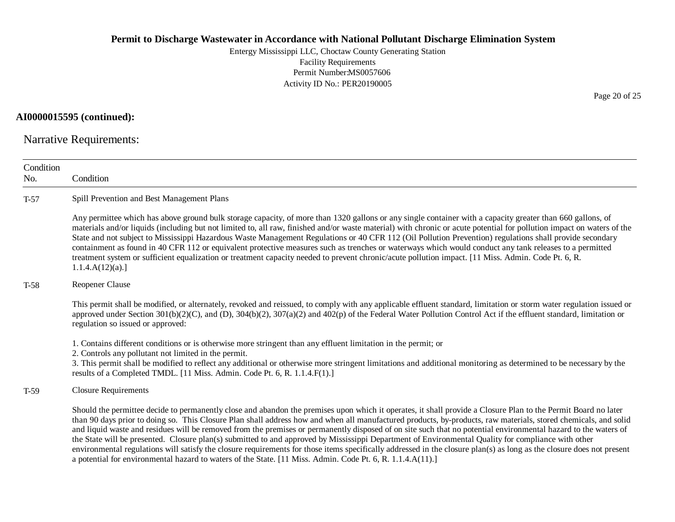Entergy Mississippi LLC, Choctaw County Generating Station Facility Requirements Permit Number:MS0057606 Activity ID No.: PER20190005

# **AI0000015595 (continued):**

Narrative Requirements:

| Condition<br>No. | Condition                                                                                                                                                                                                                                                                                                                                                                                                                                                                                                                                                                                                                                                                                                                                                                                                                                                                                                                                          |  |  |
|------------------|----------------------------------------------------------------------------------------------------------------------------------------------------------------------------------------------------------------------------------------------------------------------------------------------------------------------------------------------------------------------------------------------------------------------------------------------------------------------------------------------------------------------------------------------------------------------------------------------------------------------------------------------------------------------------------------------------------------------------------------------------------------------------------------------------------------------------------------------------------------------------------------------------------------------------------------------------|--|--|
| $T-57$           | Spill Prevention and Best Management Plans                                                                                                                                                                                                                                                                                                                                                                                                                                                                                                                                                                                                                                                                                                                                                                                                                                                                                                         |  |  |
|                  | Any permittee which has above ground bulk storage capacity, of more than 1320 gallons or any single container with a capacity greater than 660 gallons, of<br>materials and/or liquids (including but not limited to, all raw, finished and/or waste material) with chronic or acute potential for pollution impact on waters of the<br>State and not subject to Mississippi Hazardous Waste Management Regulations or 40 CFR 112 (Oil Pollution Prevention) regulations shall provide secondary<br>containment as found in 40 CFR 112 or equivalent protective measures such as trenches or waterways which would conduct any tank releases to a permitted<br>treatment system or sufficient equalization or treatment capacity needed to prevent chronic/acute pollution impact. [11 Miss. Admin. Code Pt. 6, R.<br>1.1.4.A(12)(a).                                                                                                              |  |  |
| $T-58$           | Reopener Clause                                                                                                                                                                                                                                                                                                                                                                                                                                                                                                                                                                                                                                                                                                                                                                                                                                                                                                                                    |  |  |
|                  | This permit shall be modified, or alternately, revoked and reissued, to comply with any applicable effluent standard, limitation or storm water regulation issued or<br>approved under Section 301(b)(2)(C), and (D), 304(b)(2), 307(a)(2) and 402(p) of the Federal Water Pollution Control Act if the effluent standard, limitation or<br>regulation so issued or approved:                                                                                                                                                                                                                                                                                                                                                                                                                                                                                                                                                                      |  |  |
|                  | 1. Contains different conditions or is otherwise more stringent than any effluent limitation in the permit; or<br>2. Controls any pollutant not limited in the permit.<br>3. This permit shall be modified to reflect any additional or otherwise more stringent limitations and additional monitoring as determined to be necessary by the<br>results of a Completed TMDL. [11 Miss. Admin. Code Pt. 6, R. 1.1.4.F(1).]                                                                                                                                                                                                                                                                                                                                                                                                                                                                                                                           |  |  |
| $T-59$           | <b>Closure Requirements</b>                                                                                                                                                                                                                                                                                                                                                                                                                                                                                                                                                                                                                                                                                                                                                                                                                                                                                                                        |  |  |
|                  | Should the permittee decide to permanently close and abandon the premises upon which it operates, it shall provide a Closure Plan to the Permit Board no later<br>than 90 days prior to doing so. This Closure Plan shall address how and when all manufactured products, by-products, raw materials, stored chemicals, and solid<br>and liquid waste and residues will be removed from the premises or permanently disposed of on site such that no potential environmental hazard to the waters of<br>the State will be presented. Closure plan(s) submitted to and approved by Mississippi Department of Environmental Quality for compliance with other<br>environmental regulations will satisfy the closure requirements for those items specifically addressed in the closure plan(s) as long as the closure does not present<br>a potential for environmental hazard to waters of the State. [11 Miss. Admin. Code Pt. 6, R. 1.1.4.A(11).] |  |  |

Page 20 of 25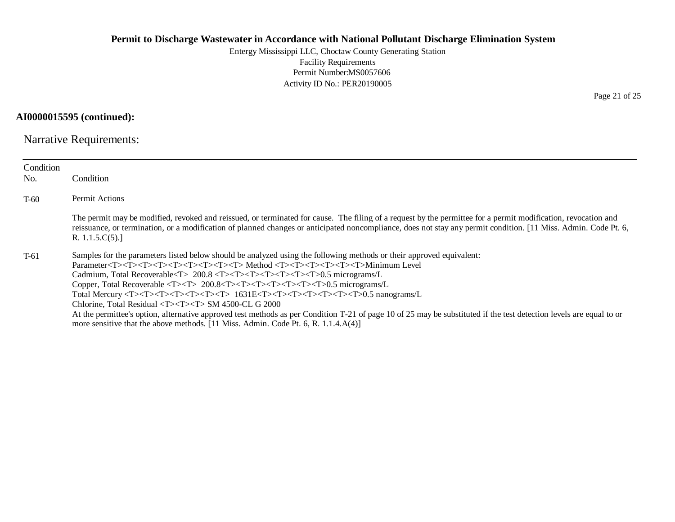Entergy Mississippi LLC, Choctaw County Generating Station Facility Requirements Permit Number:MS0057606 Activity ID No.: PER20190005

**AI0000015595 (continued):**

Narrative Requirements:

| Condition<br>No. | Condition                                                                                                                                                                                                                                                                                                                                                                                                                                                                                                                                                                                                                                                                                                                                                                                                                                                                                                                                                                                                                                                                                                                                                                                                                                              |
|------------------|--------------------------------------------------------------------------------------------------------------------------------------------------------------------------------------------------------------------------------------------------------------------------------------------------------------------------------------------------------------------------------------------------------------------------------------------------------------------------------------------------------------------------------------------------------------------------------------------------------------------------------------------------------------------------------------------------------------------------------------------------------------------------------------------------------------------------------------------------------------------------------------------------------------------------------------------------------------------------------------------------------------------------------------------------------------------------------------------------------------------------------------------------------------------------------------------------------------------------------------------------------|
| $T-60$           | Permit Actions                                                                                                                                                                                                                                                                                                                                                                                                                                                                                                                                                                                                                                                                                                                                                                                                                                                                                                                                                                                                                                                                                                                                                                                                                                         |
|                  | The permit may be modified, revoked and reissued, or terminated for cause. The filing of a request by the permittee for a permit modification, revocation and<br>reissuance, or termination, or a modification of planned changes or anticipated noncompliance, does not stay any permit condition. [11 Miss. Admin. Code Pt. 6,<br>R. $1.1.5.C(5).$                                                                                                                                                                                                                                                                                                                                                                                                                                                                                                                                                                                                                                                                                                                                                                                                                                                                                                   |
| $T-61$           | Samples for the parameters listed below should be analyzed using the following methods or their approved equivalent:<br>Parameter <t><t><t><t><t><t><t><t><t><t><t><t><t>&gt;&gt;Arameter<t><t><t><t><t><t><t><t><t><t><t><br/>Cadmium, Total Recoverable<t> 200.8 <t><t><t><t><t><t><t><t><t>&gt;&gt;<t>&gt;<t>&gt;0.5 micrograms/L<br/>Copper, Total Recoverable <t><t> 200.8<t><t><t><t><t><t><t><t><t>&gt;&gt;&gt;&gt;&gt;.5 micrograms/L<br/>Total Mercury <t><t><t><t><t><t><t><t><t>&gt;&gt;<t> 1631E<t><t><t><t><t><t><t><t>&gt;&gt;&gt;&gt;&gt;0.5 nanograms/L<br/>Chlorine, Total Residual <math>\langle T \rangle \langle T \rangle \langle T \rangle</math> SM 4500-CL G 2000<br/>At the permittee's option, alternative approved test methods as per Condition T-21 of page 10 of 25 may be substituted if the test detection levels are equal to or<br/>more sensitive that the above methods. <math>[11</math> Miss. Admin. Code Pt. 6, R. <math>1.1.4.A(4)]</math></t></t></t></t></t></t></t></t></t></t></t></t></t></t></t></t></t></t></t></t></t></t></t></t></t></t></t></t></t></t></t></t></t></t></t></t></t></t></t></t></t></t></t></t></t></t></t></t></t></t></t></t></t></t></t></t></t></t></t></t></t></t></t></t></t> |

Page 21 of 25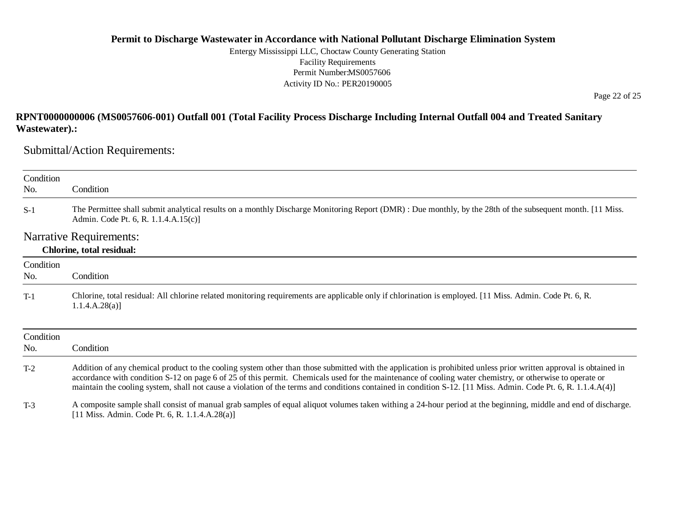Entergy Mississippi LLC, Choctaw County Generating Station Facility Requirements Permit Number:MS0057606 Activity ID No.: PER20190005

Page 22 of 25

# **RPNT0000000006 (MS0057606-001) Outfall 001 (Total Facility Process Discharge Including Internal Outfall 004 and Treated Sanitary Wastewater).:**

Submittal/Action Requirements:

| Condition |                                                                                                                                                                                                                                                                                                                                                                                                                                                                                                |  |  |  |
|-----------|------------------------------------------------------------------------------------------------------------------------------------------------------------------------------------------------------------------------------------------------------------------------------------------------------------------------------------------------------------------------------------------------------------------------------------------------------------------------------------------------|--|--|--|
| No.       | Condition                                                                                                                                                                                                                                                                                                                                                                                                                                                                                      |  |  |  |
| $S-1$     | The Permittee shall submit analytical results on a monthly Discharge Monitoring Report (DMR): Due monthly, by the 28th of the subsequent month. [11 Miss.<br>Admin. Code Pt. 6, R. 1.1.4.A.15(c)]                                                                                                                                                                                                                                                                                              |  |  |  |
|           | <b>Narrative Requirements:</b>                                                                                                                                                                                                                                                                                                                                                                                                                                                                 |  |  |  |
|           | <b>Chlorine, total residual:</b>                                                                                                                                                                                                                                                                                                                                                                                                                                                               |  |  |  |
| Condition |                                                                                                                                                                                                                                                                                                                                                                                                                                                                                                |  |  |  |
| No.       | Condition                                                                                                                                                                                                                                                                                                                                                                                                                                                                                      |  |  |  |
| $T-1$     | Chlorine, total residual: All chlorine related monitoring requirements are applicable only if chlorination is employed. [11 Miss. Admin. Code Pt. 6, R.<br>1.1.4.A.28(a)                                                                                                                                                                                                                                                                                                                       |  |  |  |
| Condition |                                                                                                                                                                                                                                                                                                                                                                                                                                                                                                |  |  |  |
| No.       | Condition                                                                                                                                                                                                                                                                                                                                                                                                                                                                                      |  |  |  |
| $T-2$     | Addition of any chemical product to the cooling system other than those submitted with the application is prohibited unless prior written approval is obtained in<br>accordance with condition S-12 on page 6 of 25 of this permit. Chemicals used for the maintenance of cooling water chemistry, or otherwise to operate or<br>maintain the cooling system, shall not cause a violation of the terms and conditions contained in condition S-12. [11 Miss. Admin. Code Pt. 6, R. 1.1.4.A(4)] |  |  |  |
| $T-3$     | A composite sample shall consist of manual grab samples of equal aliquot volumes taken withing a 24-hour period at the beginning, middle and end of discharge.<br>[11 Miss. Admin. Code Pt. 6, R. $1.1.4.A.28(a)$ ]                                                                                                                                                                                                                                                                            |  |  |  |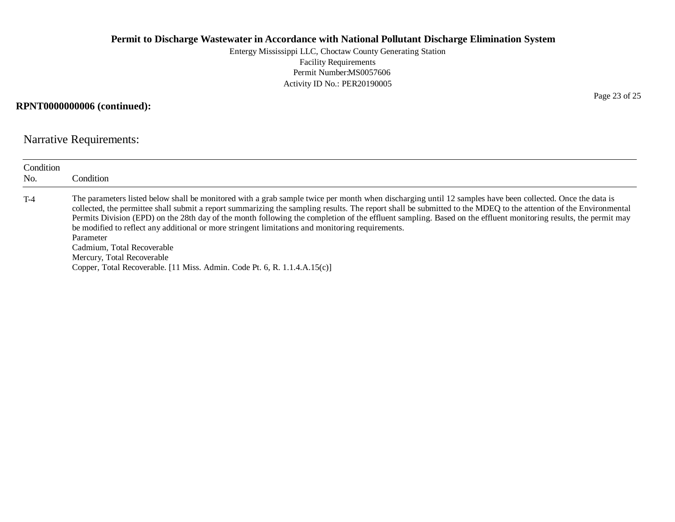Entergy Mississippi LLC, Choctaw County Generating Station Facility Requirements Permit Number:MS0057606 Activity ID No.: PER20190005

# **RPNT0000000006 (continued):**

Narrative Requirements:

| Condition<br>No. | Condition                                                                                                                                                                                                                                                                                                                                                                                                                                                                                                                                                                                                                                                                                                                                                  |
|------------------|------------------------------------------------------------------------------------------------------------------------------------------------------------------------------------------------------------------------------------------------------------------------------------------------------------------------------------------------------------------------------------------------------------------------------------------------------------------------------------------------------------------------------------------------------------------------------------------------------------------------------------------------------------------------------------------------------------------------------------------------------------|
| $T-4$            | The parameters listed below shall be monitored with a grab sample twice per month when discharging until 12 samples have been collected. Once the data is<br>collected, the permittee shall submit a report summarizing the sampling results. The report shall be submitted to the MDEQ to the attention of the Environmental<br>Permits Division (EPD) on the 28th day of the month following the completion of the effluent sampling. Based on the effluent monitoring results, the permit may<br>be modified to reflect any additional or more stringent limitations and monitoring requirements.<br>Parameter<br>Cadmium, Total Recoverable<br>Mercury, Total Recoverable<br>Copper, Total Recoverable. [11 Miss. Admin. Code Pt. 6, R. 1.1.4.A.15(c)] |

Page 23 of 25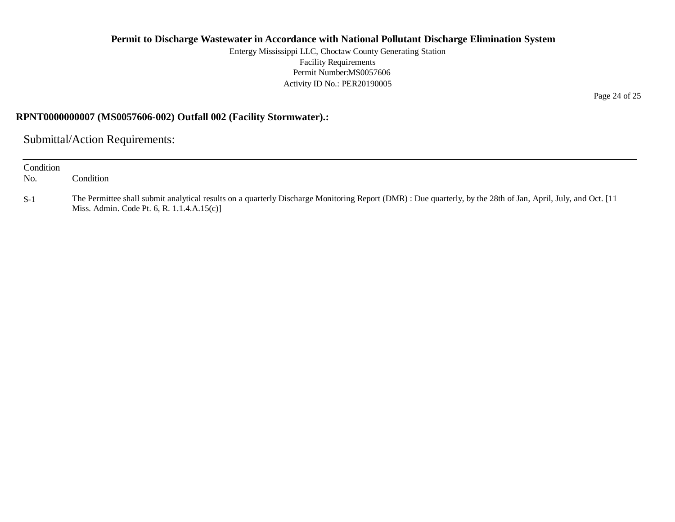Entergy Mississippi LLC, Choctaw County Generating Station Facility Requirements Permit Number:MS0057606 Activity ID No.: PER20190005

# **RPNT0000000007 (MS0057606-002) Outfall 002 (Facility Stormwater).:**

Submittal/Action Requirements:

| Condition<br>No. | ondition'                                                                                                                                                                                                    |
|------------------|--------------------------------------------------------------------------------------------------------------------------------------------------------------------------------------------------------------|
| $S-1$            | The Permittee shall submit analytical results on a quarterly Discharge Monitoring Report (DMR): Due quarterly, by the 28th of Jan, April, July, and Oct. [11]<br>Miss. Admin. Code Pt. 6, R. $1.1.4.A.15(c)$ |

Page 24 of 25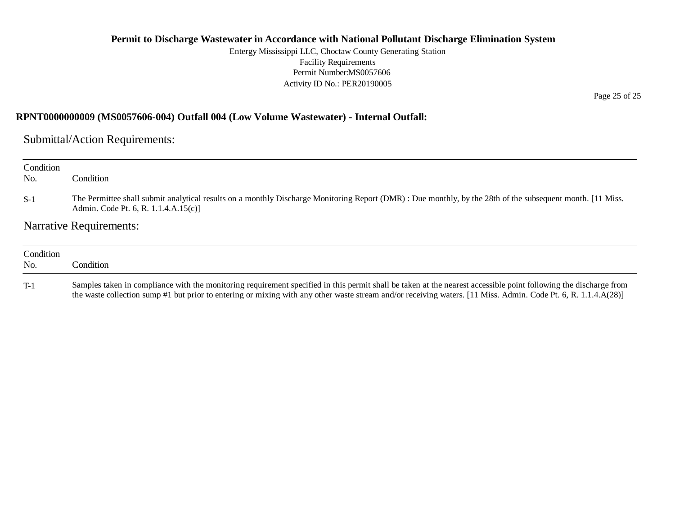Entergy Mississippi LLC, Choctaw County Generating Station Facility Requirements Permit Number:MS0057606 Activity ID No.: PER20190005

## **RPNT0000000009 (MS0057606-004) Outfall 004 (Low Volume Wastewater) - Internal Outfall:**

Submittal/Action Requirements:

| Condition<br>No. | Condition                                                                                                                                                                                          |  |
|------------------|----------------------------------------------------------------------------------------------------------------------------------------------------------------------------------------------------|--|
| $S-1$            | The Permittee shall submit analytical results on a monthly Discharge Monitoring Report (DMR) : Due monthly, by the 28th of the subsequent month. [11 Miss.<br>Admin. Code Pt. 6, R. 1.1.4.A.15(c)] |  |
|                  | <b>Narrative Requirements:</b>                                                                                                                                                                     |  |
| Condition<br>No. | Condition                                                                                                                                                                                          |  |

T-1 Samples taken in compliance with the monitoring requirement specified in this permit shall be taken at the nearest accessible point following the discharge from the waste collection sump #1 but prior to entering or mixing with any other waste stream and/or receiving waters. [11 Miss. Admin. Code Pt. 6, R. 1.1.4.A(28)]

Page 25 of 25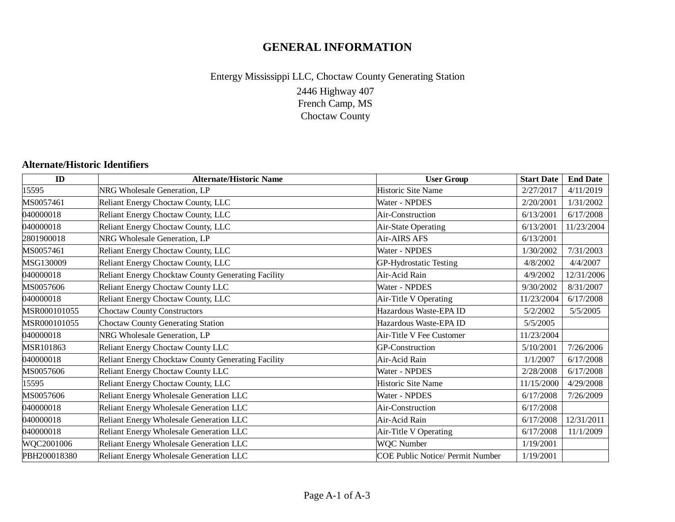# **GENERAL INFORMATION**

# 2446 Highway 407 French Camp, MS Choctaw County Entergy Mississippi LLC, Choctaw County Generating Station

# **Alternate/Historic Identifiers**

| ID           | <b>Alternate/Historic Name</b>                     | <b>User Group</b>                | <b>Start Date</b> | <b>End Date</b> |
|--------------|----------------------------------------------------|----------------------------------|-------------------|-----------------|
| 15595        | NRG Wholesale Generation, LP                       | Historic Site Name               | 2/27/2017         | 4/11/2019       |
| MS0057461    | Reliant Energy Choctaw County, LLC                 | Water - NPDES                    | 2/20/2001         | 1/31/2002       |
| 040000018    | Reliant Energy Choctaw County, LLC                 | Air-Construction                 | 6/13/2001         | 6/17/2008       |
| 040000018    | Reliant Energy Choctaw County, LLC                 | Air-State Operating              | 6/13/2001         | 11/23/2004      |
| 2801900018   | NRG Wholesale Generation, LP                       | Air-AIRS AFS                     | 6/13/2001         |                 |
| MS0057461    | Reliant Energy Choctaw County, LLC                 | Water - NPDES                    | 1/30/2002         | 7/31/2003       |
| MSG130009    | Reliant Energy Choctaw County, LLC                 | GP-Hydrostatic Testing           | 4/8/2002          | 4/4/2007        |
| 040000018    | Reliant Energy Chocktaw County Generating Facility | Air-Acid Rain                    | 4/9/2002          | 12/31/2006      |
| MS0057606    | Reliant Energy Choctaw County LLC                  | Water - NPDES                    | 9/30/2002         | 8/31/2007       |
| 040000018    | Reliant Energy Choctaw County, LLC                 | Air-Title V Operating            | 11/23/2004        | 6/17/2008       |
| MSR000101055 | <b>Choctaw County Constructors</b>                 | Hazardous Waste-EPA ID           | 5/2/2002          | 5/5/2005        |
| MSR000101055 | <b>Choctaw County Generating Station</b>           | Hazardous Waste-EPA ID           | 5/5/2005          |                 |
| 040000018    | NRG Wholesale Generation, LP                       | Air-Title V Fee Customer         | 11/23/2004        |                 |
| MSR101863    | Reliant Energy Choctaw County LLC                  | <b>GP-Construction</b>           | 5/10/2001         | 7/26/2006       |
| 040000018    | Reliant Energy Chocktaw County Generating Facility | Air-Acid Rain                    | 1/1/2007          | 6/17/2008       |
| MS0057606    | Reliant Energy Choctaw County LLC                  | Water - NPDES                    | 2/28/2008         | 6/17/2008       |
| 15595        | Reliant Energy Choctaw County, LLC                 | <b>Historic Site Name</b>        | 11/15/2000        | 4/29/2008       |
| MS0057606    | Reliant Energy Wholesale Generation LLC            | Water - NPDES                    | 6/17/2008         | 7/26/2009       |
| 040000018    | Reliant Energy Wholesale Generation LLC            | Air-Construction                 | 6/17/2008         |                 |
| 040000018    | Reliant Energy Wholesale Generation LLC            | Air-Acid Rain                    | 6/17/2008         | 12/31/2011      |
| 040000018    | Reliant Energy Wholesale Generation LLC            | Air-Title V Operating            | 6/17/2008         | 11/1/2009       |
| WQC2001006   | Reliant Energy Wholesale Generation LLC            | <b>WQC</b> Number                | 1/19/2001         |                 |
| PBH200018380 | Reliant Energy Wholesale Generation LLC            | COE Public Notice/ Permit Number | 1/19/2001         |                 |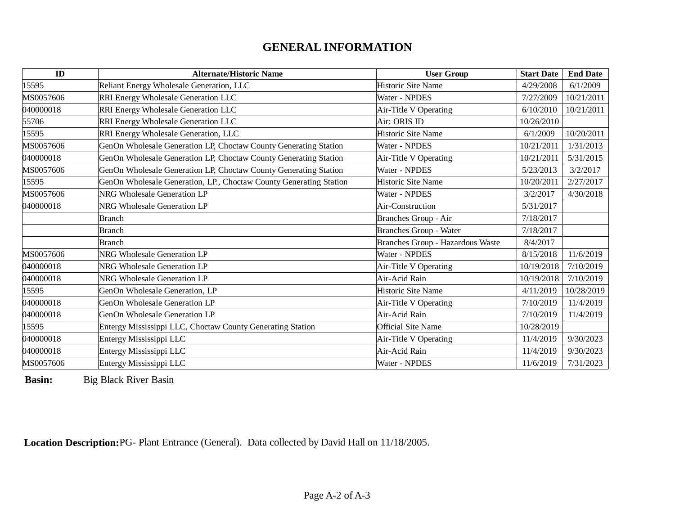# **GENERAL INFORMATION**

| ID        | <b>Alternate/Historic Name</b>                                     | <b>User Group</b>                | <b>Start Date</b>     | <b>End Date</b> |
|-----------|--------------------------------------------------------------------|----------------------------------|-----------------------|-----------------|
| 15595     | Reliant Energy Wholesale Generation, LLC                           | <b>Historic Site Name</b>        | 4/29/2008             | 6/1/2009        |
| MS0057606 | RRI Energy Wholesale Generation LLC                                | Water - NPDES                    | 7/27/2009             | 10/21/2011      |
| 040000018 | RRI Energy Wholesale Generation LLC                                | Air-Title V Operating            | 6/10/2010             | 10/21/2011      |
| 55706     | RRI Energy Wholesale Generation LLC                                | Air: ORIS ID                     | 10/26/2010            |                 |
| 15595     | RRI Energy Wholesale Generation, LLC                               | <b>Historic Site Name</b>        | 6/1/2009              | 10/20/2011      |
| MS0057606 | GenOn Wholesale Generation LP, Choctaw County Generating Station   | Water - NPDES                    | 10/21/2011            | 1/31/2013       |
| 040000018 | GenOn Wholesale Generation LP, Choctaw County Generating Station   | Air-Title V Operating            | 10/21/2011            | 5/31/2015       |
| MS0057606 | GenOn Wholesale Generation LP, Choctaw County Generating Station   | Water - NPDES                    | 5/23/2013             | 3/2/2017        |
| 15595     | GenOn Wholesale Generation, LP., Choctaw County Generating Station | <b>Historic Site Name</b>        | 10/20/2011            | 2/27/2017       |
| MS0057606 | <b>NRG Wholesale Generation LP</b>                                 | Water - NPDES                    | 4/30/2018<br>3/2/2017 |                 |
| 040000018 | <b>NRG Wholesale Generation LP</b>                                 | Air-Construction                 | 5/31/2017             |                 |
|           | Branch                                                             | Branches Group - Air             | 7/18/2017             |                 |
|           | Branch                                                             | Branches Group - Water           | 7/18/2017             |                 |
|           | Branch                                                             | Branches Group - Hazardous Waste | 8/4/2017              |                 |
| MS0057606 | <b>NRG Wholesale Generation LP</b>                                 | Water - NPDES                    | 8/15/2018             | 11/6/2019       |
| 040000018 | <b>NRG Wholesale Generation LP</b>                                 | Air-Title V Operating            | 10/19/2018            | 7/10/2019       |
| 040000018 | <b>NRG Wholesale Generation LP</b>                                 | Air-Acid Rain                    | 10/19/2018            | 7/10/2019       |
| 15595     | GenOn Wholesale Generation, LP                                     | Historic Site Name               | 4/11/2019             | 10/28/2019      |
| 040000018 | GenOn Wholesale Generation LP                                      | Air-Title V Operating            | 7/10/2019             | 11/4/2019       |
| 040000018 | GenOn Wholesale Generation LP                                      | Air-Acid Rain                    | 7/10/2019             | 11/4/2019       |
| 15595     | Entergy Mississippi LLC, Choctaw County Generating Station         | <b>Official Site Name</b>        | 10/28/2019            |                 |
| 040000018 | Entergy Mississippi LLC                                            | Air-Title V Operating            | 11/4/2019             | 9/30/2023       |
| 040000018 | Entergy Mississippi LLC                                            | Air-Acid Rain                    | 11/4/2019             | 9/30/2023       |
| MS0057606 | Entergy Mississippi LLC                                            | Water - NPDES                    | 11/6/2019             | 7/31/2023       |

**Basin:** Big Black River Basin

**Location Description:**PG- Plant Entrance (General). Data collected by David Hall on 11/18/2005.